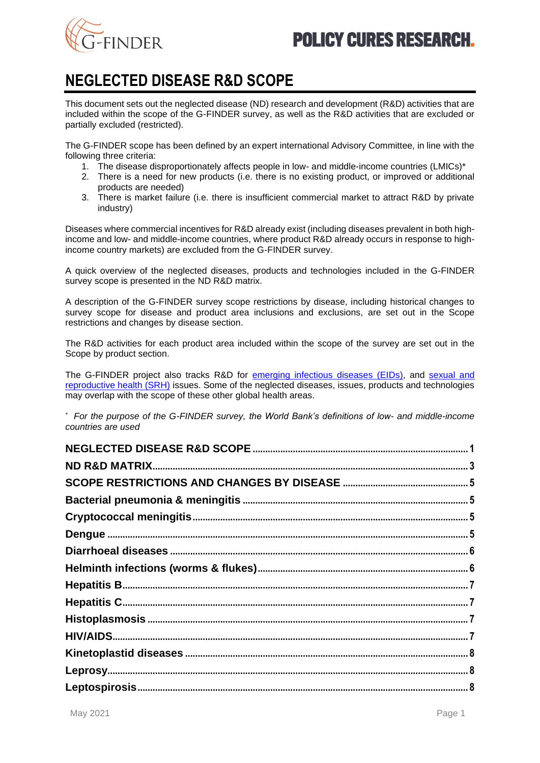<span id="page-0-1"></span>

# <span id="page-0-0"></span>**NEGLECTED DISEASE R&D SCOPE**

This document sets out the neglected disease (ND) research and development (R&D) activities that are included within the scope of the G-FINDER survey, as well as the R&D activities that are excluded or partially excluded (restricted).

The G-FINDER scope has been defined by an expert international Advisory Committee, in line with the following three criteria:

- 1. The disease disproportionately affects people in low- and middle-income countries (LMICs)\*
- 2. There is a need for new products (i.e. there is no existing product, or improved or additional products are needed)
- 3. There is market failure (i.e. there is insufficient commercial market to attract R&D by private industry)

Diseases where commercial incentives for R&D already exist (including diseases prevalent in both highincome and low- and middle-income countries, where product R&D already occurs in response to highincome country markets) are excluded from the G-FINDER survey.

A quick overview of the neglected diseases, products and technologies included in the G-FINDER survey scope is presented in the ND R&D matrix.

A description of the G-FINDER survey scope restrictions by disease, including historical changes to survey scope for disease and product area inclusions and exclusions, are set out in the Scope restrictions and changes by disease section.

The R&D activities for each product area included within the scope of the survey are set out in the Scope by product section.

The G-FINDER project also tracks R&D for [emerging infectious diseases](https://gfinder.policycuresresearch.org/staticContent/pdf/G-FINDER_EID_R%26D_scope.pdf) (EIDs), and [sexual and](https://gfinder.policycuresresearch.org/staticContent/pdf/SRH_R%26D_scope.pdf)  [reproductive health \(SRH\)](https://gfinder.policycuresresearch.org/staticContent/pdf/SRH_R%26D_scope.pdf) issues. Some of the neglected diseases, issues, products and technologies may overlap with the scope of these other global health areas.

*\* For the purpose of the G-FINDER survey, the World Bank's definitions of low- and middle-income countries are used*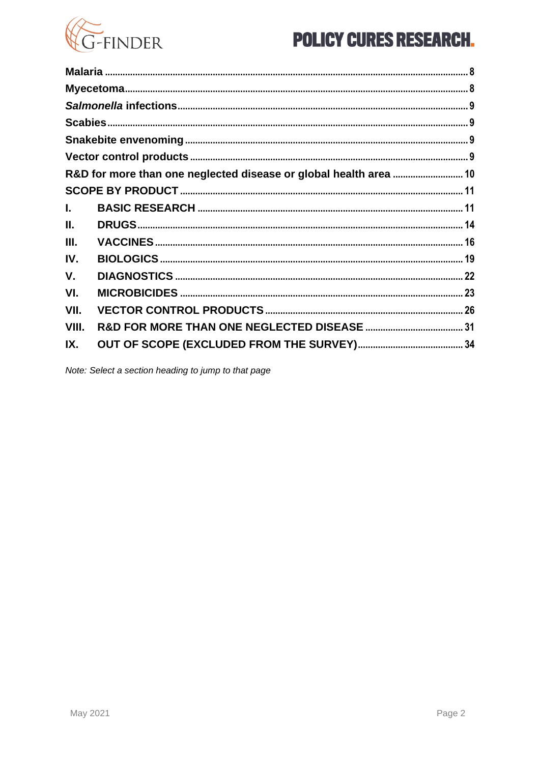

|       | R&D for more than one neglected disease or global health area  10 |  |
|-------|-------------------------------------------------------------------|--|
|       |                                                                   |  |
| L.    |                                                                   |  |
| Ш.    |                                                                   |  |
| III.  |                                                                   |  |
| IV.   |                                                                   |  |
| V.    |                                                                   |  |
| VI.   |                                                                   |  |
| VII.  |                                                                   |  |
| VIII. |                                                                   |  |
| IX.   |                                                                   |  |

Note: Select a section heading to jump to that page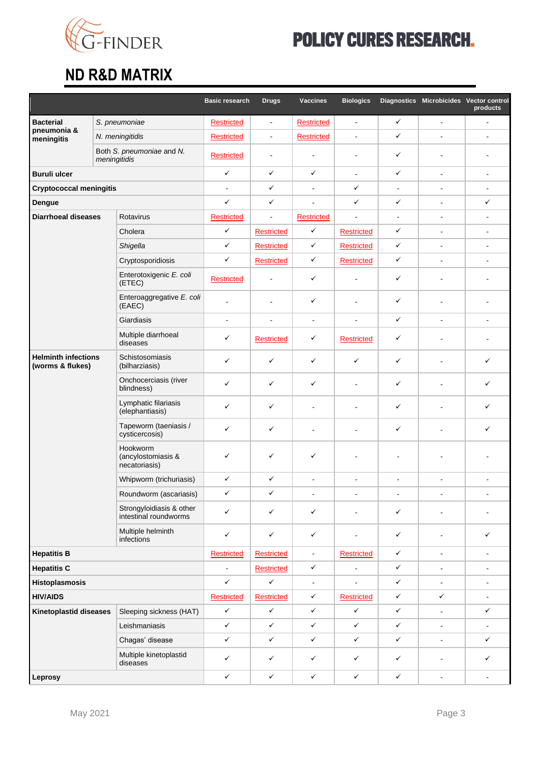

# <span id="page-2-0"></span>**ND R&D MATRIX**

|                                                |               |                                                   | <b>Basic research</b> | <b>Drugs</b>      | <b>Vaccines</b>   | <b>Biologics</b>  |                | Diagnostics Microbicides Vector control | products                 |
|------------------------------------------------|---------------|---------------------------------------------------|-----------------------|-------------------|-------------------|-------------------|----------------|-----------------------------------------|--------------------------|
| <b>Bacterial</b><br>pneumonia &<br>meningitis  | S. pneumoniae |                                                   | Restricted            | $\blacksquare$    | Restricted        | $\overline{a}$    | $\checkmark$   |                                         | ä,                       |
|                                                |               | N. meningitidis                                   | <b>Restricted</b>     | $\blacksquare$    | <b>Restricted</b> | ä,                | $\checkmark$   | $\blacksquare$                          | ÷,                       |
|                                                | meningitidis  | Both S. pneumoniae and N.                         | <b>Restricted</b>     | $\blacksquare$    |                   | $\blacksquare$    | $\checkmark$   |                                         |                          |
| <b>Buruli ulcer</b>                            |               |                                                   | ✓                     | ✓                 | $\checkmark$      | $\mathbf{r}$      | $\checkmark$   | $\blacksquare$                          | $\sim$                   |
| <b>Cryptococcal meningitis</b>                 |               |                                                   | $\blacksquare$        | ✓                 | $\blacksquare$    | ✓                 | $\blacksquare$ | $\blacksquare$                          | $\blacksquare$           |
| Dengue                                         |               |                                                   | $\checkmark$          | ✓                 | $\blacksquare$    | ✓                 | $\checkmark$   | $\ddot{\phantom{a}}$                    | ✓                        |
| <b>Diarrhoeal diseases</b>                     |               | Rotavirus                                         | <b>Restricted</b>     | $\blacksquare$    | <b>Restricted</b> | ä,                | $\blacksquare$ | $\blacksquare$                          | $\overline{\phantom{a}}$ |
|                                                |               | Cholera                                           | ✓                     | Restricted        | $\checkmark$      | <b>Restricted</b> | $\checkmark$   | $\overline{a}$                          | $\overline{a}$           |
|                                                |               | Shigella                                          | $\checkmark$          | <b>Restricted</b> | $\checkmark$      | Restricted        | $\checkmark$   | $\overline{a}$                          | $\overline{a}$           |
|                                                |               | Cryptosporidiosis                                 | ✓                     | <b>Restricted</b> | ✓                 | <b>Restricted</b> | $\checkmark$   | $\blacksquare$                          | $\blacksquare$           |
|                                                |               | Enterotoxigenic E. coli<br>(ETEC)                 | <b>Restricted</b>     | $\blacksquare$    | ✓                 |                   | $\checkmark$   |                                         |                          |
|                                                |               | Enteroaggregative E. coli<br>(EAEC)               | $\overline{a}$        | $\blacksquare$    | ✓                 | ÷                 | $\checkmark$   |                                         |                          |
|                                                |               | Giardiasis                                        | $\blacksquare$        | $\blacksquare$    | $\blacksquare$    | $\blacksquare$    | $\checkmark$   | $\blacksquare$                          |                          |
|                                                |               | Multiple diarrhoeal<br>diseases                   | ✓                     | <b>Restricted</b> | ✓                 | <b>Restricted</b> | $\checkmark$   |                                         |                          |
| <b>Helminth infections</b><br>(worms & flukes) |               | Schistosomiasis<br>(bilharziasis)                 | ✓                     | ✓                 | $\checkmark$      | ✓                 | $\checkmark$   |                                         | ✓                        |
|                                                |               | Onchocerciasis (river<br>blindness)               | ✓                     | ✓                 | $\checkmark$      |                   | $\checkmark$   |                                         | ✓                        |
|                                                |               | Lymphatic filariasis<br>(elephantiasis)           | ✓                     | ✓                 | $\blacksquare$    |                   | $\checkmark$   |                                         | ✓                        |
|                                                |               | Tapeworm (taeniasis /<br>cysticercosis)           | ✓                     | ✓                 | $\blacksquare$    | $\overline{a}$    | $\checkmark$   |                                         | ✓                        |
|                                                |               | Hookworm<br>(ancylostomiasis &<br>necatoriasis)   | ✓                     | ✓                 | ✓                 |                   |                |                                         |                          |
|                                                |               | Whipworm (trichuriasis)                           | ✓                     | ✓                 | $\blacksquare$    | ÷,                | $\blacksquare$ |                                         |                          |
|                                                |               | Roundworm (ascariasis)                            | ✓                     | ✓                 |                   |                   |                |                                         |                          |
|                                                |               | Strongyloidiasis & other<br>intestinal roundworms | $\checkmark$          | ✓                 | $\checkmark$      |                   | $\checkmark$   |                                         |                          |
|                                                |               | Multiple helminth<br>infections                   | ✓                     | ✓                 | $\checkmark$      |                   | $\checkmark$   |                                         | ✓                        |
| <b>Hepatitis B</b>                             |               |                                                   | Restricted            | <b>Restricted</b> | $\blacksquare$    | <b>Restricted</b> | $\checkmark$   | $\blacksquare$                          | $\blacksquare$           |
| <b>Hepatitis C</b>                             |               |                                                   | $\blacksquare$        | <b>Restricted</b> | ✓                 | $\overline{a}$    | ✓              | $\sim$                                  | $\blacksquare$           |
| <b>Histoplasmosis</b>                          |               |                                                   | $\checkmark$          | $\checkmark$      | $\blacksquare$    | $\blacksquare$    | $\checkmark$   | $\qquad \qquad \blacksquare$            | ä,                       |
| <b>HIV/AIDS</b>                                |               | <b>Restricted</b>                                 | <b>Restricted</b>     | $\checkmark$      | <b>Restricted</b> | $\checkmark$      | $\checkmark$   | $\blacksquare$                          |                          |
| <b>Kinetoplastid diseases</b>                  |               | Sleeping sickness (HAT)                           | $\checkmark$          | $\checkmark$      | $\checkmark$      | ✓                 | $\checkmark$   | $\blacksquare$                          | ✓                        |
|                                                |               | Leishmaniasis                                     | $\checkmark$          | $\checkmark$      | $\checkmark$      | ✓                 | $\checkmark$   | $\blacksquare$                          | $\blacksquare$           |
|                                                |               | Chagas' disease                                   | $\checkmark$          | ✓                 | $\checkmark$      | $\checkmark$      | $\checkmark$   | $\qquad \qquad \blacksquare$            | ✓                        |
|                                                |               | Multiple kinetoplastid<br>diseases                | ✓                     | ✓                 | ✓                 | ✓                 | $\checkmark$   |                                         | ✓                        |
| Leprosy                                        |               | $\checkmark$                                      | $\checkmark$          | $\checkmark$      | $\checkmark$      | $\checkmark$      | $\blacksquare$ | $\blacksquare$                          |                          |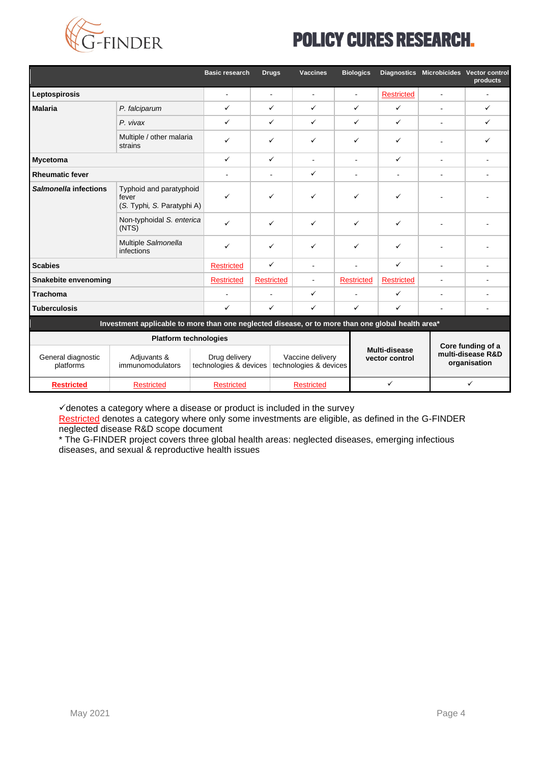

|                                 |                                                                                                   | <b>Basic research</b>                   | <b>Drugs</b>      | <b>Vaccines</b>                            | <b>Biologics</b>  |                                                                                           |                | Diagnostics Microbicides Vector control<br>products |
|---------------------------------|---------------------------------------------------------------------------------------------------|-----------------------------------------|-------------------|--------------------------------------------|-------------------|-------------------------------------------------------------------------------------------|----------------|-----------------------------------------------------|
| Leptospirosis                   |                                                                                                   | $\blacksquare$                          | $\blacksquare$    | $\blacksquare$                             | Ξ.                | <b>Restricted</b>                                                                         | $\blacksquare$ |                                                     |
| <b>Malaria</b>                  | P. falciparum                                                                                     | $\checkmark$                            | ✓                 | ✓                                          | $\checkmark$      | $\checkmark$                                                                              | $\blacksquare$ | ✓                                                   |
|                                 | P. vivax                                                                                          | $\checkmark$                            | ✓                 | ✓                                          | $\checkmark$      | $\checkmark$                                                                              | ÷.             | $\checkmark$                                        |
|                                 | Multiple / other malaria<br>strains                                                               | $\checkmark$                            | ✓                 | ✓                                          | ✓                 | ✓                                                                                         |                | ✓                                                   |
| <b>Mycetoma</b>                 |                                                                                                   | $\checkmark$                            | $\checkmark$      | $\blacksquare$                             | $\blacksquare$    | ✓                                                                                         | $\blacksquare$ |                                                     |
| <b>Rheumatic fever</b>          |                                                                                                   |                                         | $\blacksquare$    | ✓                                          | $\blacksquare$    | $\blacksquare$                                                                            | $\blacksquare$ | $\blacksquare$                                      |
| Salmonella infections           | Typhoid and paratyphoid<br>fever<br>(S. Typhi, S. Paratyphi A)                                    | $\checkmark$                            | ✓                 | ✓                                          | ✓                 | ✓                                                                                         |                |                                                     |
|                                 | Non-typhoidal S. enterica<br>(NTS)                                                                | $\checkmark$                            | ✓                 | ✓                                          | $\checkmark$      | $\checkmark$                                                                              |                |                                                     |
|                                 | Multiple Salmonella<br>infections                                                                 | $\checkmark$                            | ✓                 | ✓                                          | $\checkmark$      | $\checkmark$                                                                              |                |                                                     |
| <b>Scabies</b>                  |                                                                                                   | <b>Restricted</b>                       | $\checkmark$      | $\overline{a}$                             | ٠                 | $\checkmark$                                                                              | ÷              |                                                     |
| Snakebite envenoming            |                                                                                                   | <b>Restricted</b>                       | <b>Restricted</b> | $\blacksquare$                             | <b>Restricted</b> | <b>Restricted</b>                                                                         | ä,             |                                                     |
| <b>Trachoma</b>                 |                                                                                                   |                                         | $\overline{a}$    | ✓                                          | ٠                 | $\checkmark$                                                                              | ä,             |                                                     |
| <b>Tuberculosis</b>             |                                                                                                   | $\checkmark$                            | ✓                 | ✓                                          | $\checkmark$      | $\checkmark$                                                                              | $\blacksquare$ | $\blacksquare$                                      |
|                                 | Investment applicable to more than one neglected disease, or to more than one global health area* |                                         |                   |                                            |                   |                                                                                           |                |                                                     |
| <b>Platform technologies</b>    |                                                                                                   |                                         |                   |                                            |                   |                                                                                           |                |                                                     |
| General diagnostic<br>platforms | Adjuvants &<br>immunomodulators                                                                   | Drug delivery<br>technologies & devices |                   | Vaccine delivery<br>technologies & devices |                   | Core funding of a<br>Multi-disease<br>multi-disease R&D<br>vector control<br>organisation |                |                                                     |
| <b>Restricted</b>               | <b>Restricted</b>                                                                                 | <b>Restricted</b>                       |                   | <b>Restricted</b>                          |                   | ✓                                                                                         |                | ✓                                                   |

✓denotes a category where a disease or product is included in the survey

Restricted denotes a category where only some investments are eligible, as defined in the G-FINDER neglected disease R&D scope document

\* The G-FINDER project covers three global health areas: neglected diseases, emerging infectious diseases, and sexual & reproductive health issues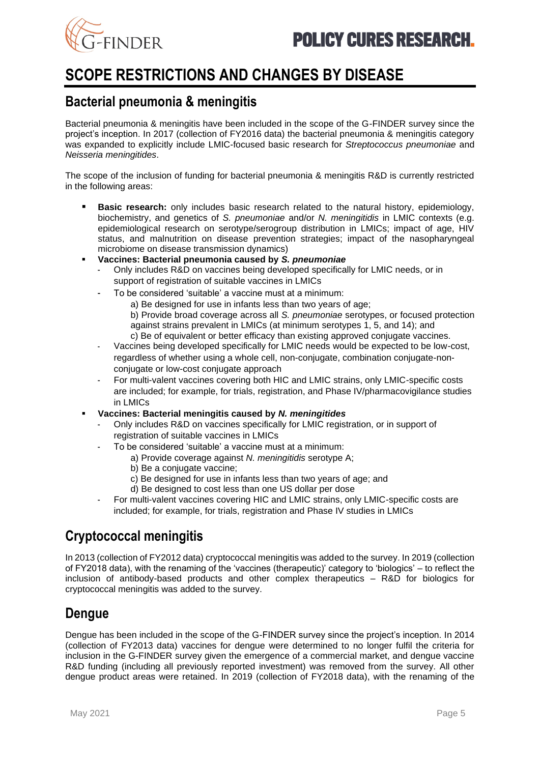

# <span id="page-4-0"></span>**SCOPE RESTRICTIONS AND CHANGES BY DISEASE**

# <span id="page-4-1"></span>**Bacterial pneumonia & meningitis**

Bacterial pneumonia & meningitis have been included in the scope of the G-FINDER survey since the project's inception. In 2017 (collection of FY2016 data) the bacterial pneumonia & meningitis category was expanded to explicitly include LMIC-focused basic research for *Streptococcus pneumoniae* and *Neisseria meningitides*.

The scope of the inclusion of funding for bacterial pneumonia & meningitis R&D is currently restricted in the following areas:

- **Basic research:** only includes basic research related to the natural history, epidemiology, biochemistry, and genetics of *S. pneumoniae* and/or *N. meningitidis* in LMIC contexts (e.g. epidemiological research on serotype/serogroup distribution in LMICs; impact of age, HIV status, and malnutrition on disease prevention strategies; impact of the nasopharyngeal microbiome on disease transmission dynamics)
- **Vaccines: Bacterial pneumonia caused by** *S. pneumoniae*
	- Only includes R&D on vaccines being developed specifically for LMIC needs, or in support of registration of suitable vaccines in LMICs
	- To be considered 'suitable' a vaccine must at a minimum:
		- a) Be designed for use in infants less than two years of age;
		- b) Provide broad coverage across all *S. pneumoniae* serotypes, or focused protection against strains prevalent in LMICs (at minimum serotypes 1, 5, and 14); and c) Be of equivalent or better efficacy than existing approved conjugate vaccines.
	- Vaccines being developed specifically for LMIC needs would be expected to be low-cost, regardless of whether using a whole cell, non-conjugate, combination conjugate-nonconjugate or low-cost conjugate approach
	- For multi-valent vaccines covering both HIC and LMIC strains, only LMIC-specific costs are included; for example, for trials, registration, and Phase IV/pharmacovigilance studies in LMICs
- **Vaccines: Bacterial meningitis caused by** *N. meningitides*
	- Only includes R&D on vaccines specifically for LMIC registration, or in support of registration of suitable vaccines in LMICs
	- To be considered 'suitable' a vaccine must at a minimum:
		- a) Provide coverage against *N. meningitidis* serotype A;
		- b) Be a conjugate vaccine;
		- c) Be designed for use in infants less than two years of age; and
		- d) Be designed to cost less than one US dollar per dose
	- For multi-valent vaccines covering HIC and LMIC strains, only LMIC-specific costs are included; for example, for trials, registration and Phase IV studies in LMICs

# <span id="page-4-2"></span>**Cryptococcal meningitis**

In 2013 (collection of FY2012 data) cryptococcal meningitis was added to the survey. In 2019 (collection of FY2018 data), with the renaming of the 'vaccines (therapeutic)' category to 'biologics' – to reflect the inclusion of antibody-based products and other complex therapeutics – R&D for biologics for cryptococcal meningitis was added to the survey.

# <span id="page-4-3"></span>**Dengue**

Dengue has been included in the scope of the G-FINDER survey since the project's inception. In 2014 (collection of FY2013 data) vaccines for dengue were determined to no longer fulfil the criteria for inclusion in the G-FINDER survey given the emergence of a commercial market, and dengue vaccine R&D funding (including all previously reported investment) was removed from the survey. All other dengue product areas were retained. In 2019 (collection of FY2018 data), with the renaming of the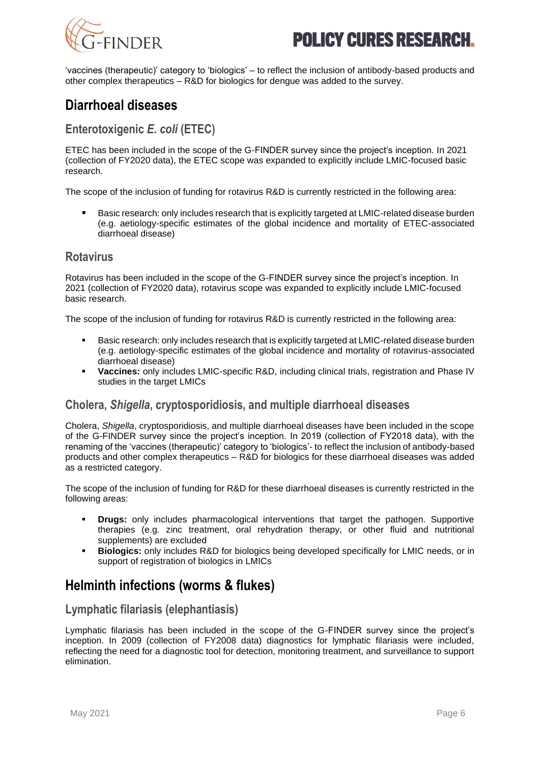



'vaccines (therapeutic)' category to 'biologics' – to reflect the inclusion of antibody-based products and other complex therapeutics – R&D for biologics for dengue was added to the survey.

## <span id="page-5-0"></span>**Diarrhoeal diseases**

## **Enterotoxigenic** *E. coli* **(ETEC)**

ETEC has been included in the scope of the G-FINDER survey since the project's inception. In 2021 (collection of FY2020 data), the ETEC scope was expanded to explicitly include LMIC-focused basic research.

The scope of the inclusion of funding for rotavirus R&D is currently restricted in the following area:

Basic research: only includes research that is explicitly targeted at LMIC-related disease burden (e.g. aetiology-specific estimates of the global incidence and mortality of ETEC-associated diarrhoeal disease)

## **Rotavirus**

Rotavirus has been included in the scope of the G-FINDER survey since the project's inception. In 2021 (collection of FY2020 data), rotavirus scope was expanded to explicitly include LMIC-focused basic research.

The scope of the inclusion of funding for rotavirus R&D is currently restricted in the following area:

- Basic research: only includes research that is explicitly targeted at LMIC-related disease burden (e.g. aetiology-specific estimates of the global incidence and mortality of rotavirus-associated diarrhoeal disease)
- **Vaccines:** only includes LMIC-specific R&D, including clinical trials, registration and Phase IV studies in the target LMICs

## **Cholera,** *Shigella***, cryptosporidiosis, and multiple diarrhoeal diseases**

Cholera, *Shigella*, cryptosporidiosis, and multiple diarrhoeal diseases have been included in the scope of the G-FINDER survey since the project's inception. In 2019 (collection of FY2018 data), with the renaming of the 'vaccines (therapeutic)' category to 'biologics'- to reflect the inclusion of antibody-based products and other complex therapeutics – R&D for biologics for these diarrhoeal diseases was added as a restricted category.

The scope of the inclusion of funding for R&D for these diarrhoeal diseases is currently restricted in the following areas:

- **Drugs:** only includes pharmacological interventions that target the pathogen. Supportive therapies (e.g. zinc treatment, oral rehydration therapy, or other fluid and nutritional supplements) are excluded
- **Biologics:** only includes R&D for biologics being developed specifically for LMIC needs, or in support of registration of biologics in LMICs

# <span id="page-5-1"></span>**Helminth infections (worms & flukes)**

## **Lymphatic filariasis (elephantiasis)**

Lymphatic filariasis has been included in the scope of the G-FINDER survey since the project's inception. In 2009 (collection of FY2008 data) diagnostics for lymphatic filariasis were included, reflecting the need for a diagnostic tool for detection, monitoring treatment, and surveillance to support elimination.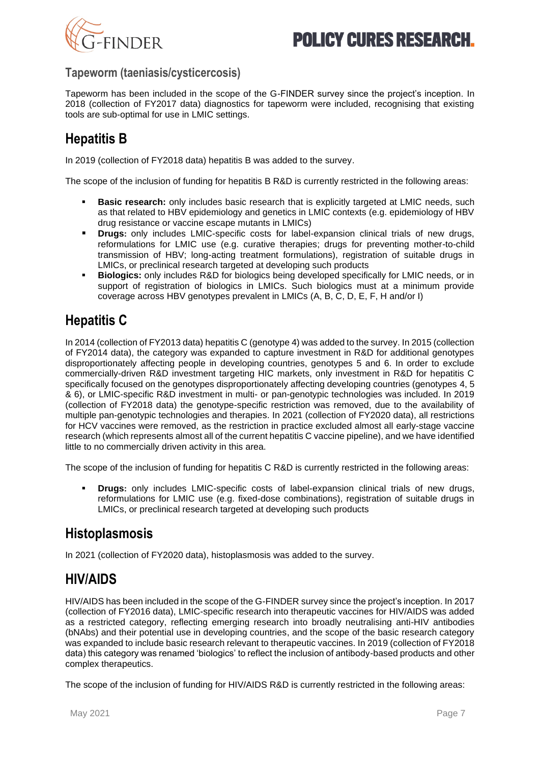

## **Tapeworm (taeniasis/cysticercosis)**

Tapeworm has been included in the scope of the G-FINDER survey since the project's inception. In 2018 (collection of FY2017 data) diagnostics for tapeworm were included, recognising that existing tools are sub-optimal for use in LMIC settings.

# <span id="page-6-0"></span>**Hepatitis B**

In 2019 (collection of FY2018 data) hepatitis B was added to the survey.

The scope of the inclusion of funding for hepatitis B R&D is currently restricted in the following areas:

- **Basic research:** only includes basic research that is explicitly targeted at LMIC needs, such as that related to HBV epidemiology and genetics in LMIC contexts (e.g. epidemiology of HBV drug resistance or vaccine escape mutants in LMICs)
- **Drugs:** only includes LMIC-specific costs for label-expansion clinical trials of new drugs, reformulations for LMIC use (e.g. curative therapies; drugs for preventing mother-to-child transmission of HBV; long-acting treatment formulations), registration of suitable drugs in LMICs, or preclinical research targeted at developing such products
- **Biologics:** only includes R&D for biologics being developed specifically for LMIC needs, or in support of registration of biologics in LMICs. Such biologics must at a minimum provide coverage across HBV genotypes prevalent in LMICs (A, B, C, D, E, F, H and/or I)

# <span id="page-6-1"></span>**Hepatitis C**

In 2014 (collection of FY2013 data) hepatitis C (genotype 4) was added to the survey. In 2015 (collection of FY2014 data), the category was expanded to capture investment in R&D for additional genotypes disproportionately affecting people in developing countries, genotypes 5 and 6. In order to exclude commercially-driven R&D investment targeting HIC markets, only investment in R&D for hepatitis C specifically focused on the genotypes disproportionately affecting developing countries (genotypes 4, 5 & 6), or LMIC-specific R&D investment in multi- or pan-genotypic technologies was included. In 2019 (collection of FY2018 data) the genotype-specific restriction was removed, due to the availability of multiple pan-genotypic technologies and therapies. In 2021 (collection of FY2020 data), all restrictions for HCV vaccines were removed, as the restriction in practice excluded almost all early-stage vaccine research (which represents almost all of the current hepatitis C vaccine pipeline), and we have identified little to no commercially driven activity in this area.

The scope of the inclusion of funding for hepatitis C R&D is currently restricted in the following areas:

**Drugs:** only includes LMIC-specific costs of label-expansion clinical trials of new drugs, reformulations for LMIC use (e.g. fixed-dose combinations), registration of suitable drugs in LMICs, or preclinical research targeted at developing such products

# <span id="page-6-2"></span>**Histoplasmosis**

In 2021 (collection of FY2020 data), histoplasmosis was added to the survey.

# <span id="page-6-3"></span>**HIV/AIDS**

HIV/AIDS has been included in the scope of the G-FINDER survey since the project's inception. In 2017 (collection of FY2016 data), LMIC-specific research into therapeutic vaccines for HIV/AIDS was added as a restricted category, reflecting emerging research into broadly neutralising anti-HIV antibodies (bNAbs) and their potential use in developing countries, and the scope of the basic research category was expanded to include basic research relevant to therapeutic vaccines. In 2019 (collection of FY2018 data) this category was renamed 'biologics' to reflect the inclusion of antibody-based products and other complex therapeutics.

The scope of the inclusion of funding for HIV/AIDS R&D is currently restricted in the following areas: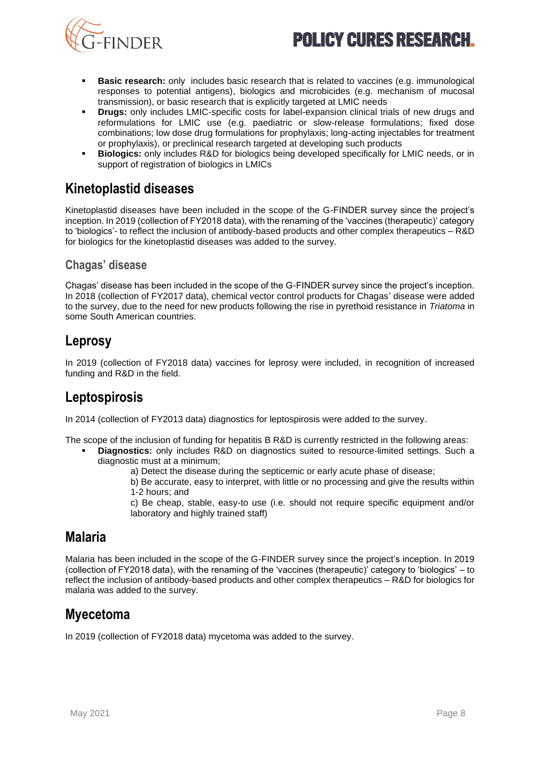



- **Basic research:** only includes basic research that is related to vaccines (e.g. immunological responses to potential antigens), biologics and microbicides (e.g. mechanism of mucosal transmission), or basic research that is explicitly targeted at LMIC needs
- **Drugs:** only includes LMIC-specific costs for label-expansion clinical trials of new drugs and reformulations for LMIC use (e.g. paediatric or slow-release formulations; fixed dose combinations; low dose drug formulations for prophylaxis; long-acting injectables for treatment or prophylaxis), or preclinical research targeted at developing such products
- **Biologics:** only includes R&D for biologics being developed specifically for LMIC needs, or in support of registration of biologics in LMICs

# <span id="page-7-0"></span>**Kinetoplastid diseases**

Kinetoplastid diseases have been included in the scope of the G-FINDER survey since the project's inception. In 2019 (collection of FY2018 data), with the renaming of the 'vaccines (therapeutic)' category to 'biologics'- to reflect the inclusion of antibody-based products and other complex therapeutics – R&D for biologics for the kinetoplastid diseases was added to the survey.

## **Chagas' disease**

Chagas' disease has been included in the scope of the G-FINDER survey since the project's inception. In 2018 (collection of FY2017 data), chemical vector control products for Chagas' disease were added to the survey, due to the need for new products following the rise in pyrethoid resistance in *Triatoma* in some South American countries.

# <span id="page-7-1"></span>**Leprosy**

In 2019 (collection of FY2018 data) vaccines for leprosy were included, in recognition of increased funding and R&D in the field.

# <span id="page-7-2"></span>**Leptospirosis**

In 2014 (collection of FY2013 data) diagnostics for leptospirosis were added to the survey.

- The scope of the inclusion of funding for hepatitis B R&D is currently restricted in the following areas:
	- **Diagnostics:** only includes R&D on diagnostics suited to resource-limited settings. Such a diagnostic must at a minimum;
		- a) Detect the disease during the septicemic or early acute phase of disease;
		- b) Be accurate, easy to interpret, with little or no processing and give the results within 1-2 hours; and

c) Be cheap, stable, easy-to use (i.e. should not require specific equipment and/or laboratory and highly trained staff)

# <span id="page-7-3"></span>**Malaria**

Malaria has been included in the scope of the G-FINDER survey since the project's inception. In 2019 (collection of FY2018 data), with the renaming of the 'vaccines (therapeutic)' category to 'biologics' – to reflect the inclusion of antibody-based products and other complex therapeutics – R&D for biologics for malaria was added to the survey.

# <span id="page-7-4"></span>**Myecetoma**

In 2019 (collection of FY2018 data) mycetoma was added to the survey.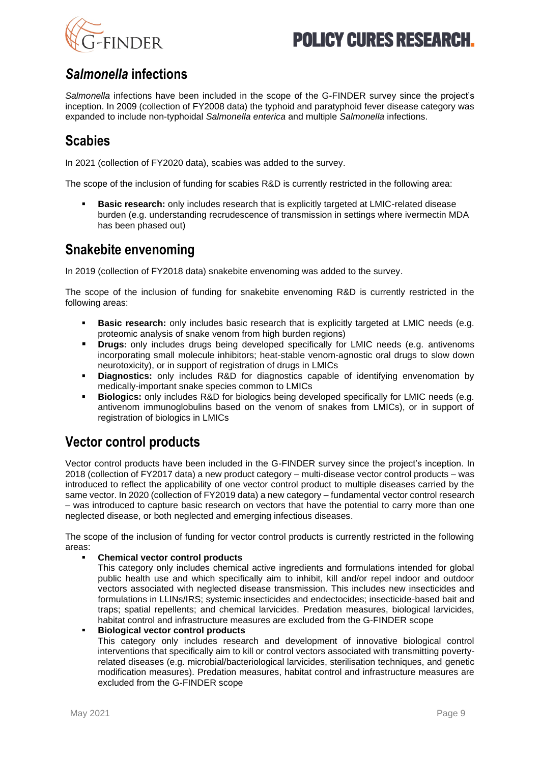



# <span id="page-8-0"></span>*Salmonella* **infections**

*Salmonella* infections have been included in the scope of the G-FINDER survey since the project's inception. In 2009 (collection of FY2008 data) the typhoid and paratyphoid fever disease category was expanded to include non-typhoidal *Salmonella enterica* and multiple *Salmonella* infections.

# <span id="page-8-1"></span>**Scabies**

In 2021 (collection of FY2020 data), scabies was added to the survey.

The scope of the inclusion of funding for scabies R&D is currently restricted in the following area:

**Basic research:** only includes research that is explicitly targeted at LMIC-related disease burden (e.g. understanding recrudescence of transmission in settings where ivermectin MDA has been phased out)

# <span id="page-8-2"></span>**Snakebite envenoming**

In 2019 (collection of FY2018 data) snakebite envenoming was added to the survey.

The scope of the inclusion of funding for snakebite envenoming R&D is currently restricted in the following areas:

- **Basic research:** only includes basic research that is explicitly targeted at LMIC needs (e.g. proteomic analysis of snake venom from high burden regions)
- **Drugs:** only includes drugs being developed specifically for LMIC needs (e.g. antivenoms incorporating small molecule inhibitors; heat-stable venom-agnostic oral drugs to slow down neurotoxicity), or in support of registration of drugs in LMICs
- **Diagnostics:** only includes R&D for diagnostics capable of identifying envenomation by medically-important snake species common to LMICs
- **Biologics:** only includes R&D for biologics being developed specifically for LMIC needs (e.g. antivenom immunoglobulins based on the venom of snakes from LMICs), or in support of registration of biologics in LMICs

# <span id="page-8-3"></span>**Vector control products**

Vector control products have been included in the G-FINDER survey since the project's inception. In 2018 (collection of FY2017 data) a new product category – multi-disease vector control products – was introduced to reflect the applicability of one vector control product to multiple diseases carried by the same vector. In 2020 (collection of FY2019 data) a new category – fundamental vector control research – was introduced to capture basic research on vectors that have the potential to carry more than one neglected disease, or both neglected and emerging infectious diseases.

The scope of the inclusion of funding for vector control products is currently restricted in the following areas:

#### **Chemical vector control products**

This category only includes chemical active ingredients and formulations intended for global public health use and which specifically aim to inhibit, kill and/or repel indoor and outdoor vectors associated with neglected disease transmission. This includes new insecticides and formulations in LLINs/IRS; systemic insecticides and endectocides; insecticide-based bait and traps; spatial repellents; and chemical larvicides. Predation measures, biological larvicides, habitat control and infrastructure measures are excluded from the G-FINDER scope

#### **Biological vector control products**

This category only includes research and development of innovative biological control interventions that specifically aim to kill or control vectors associated with transmitting povertyrelated diseases (e.g. microbial/bacteriological larvicides, sterilisation techniques, and genetic modification measures). Predation measures, habitat control and infrastructure measures are excluded from the G-FINDER scope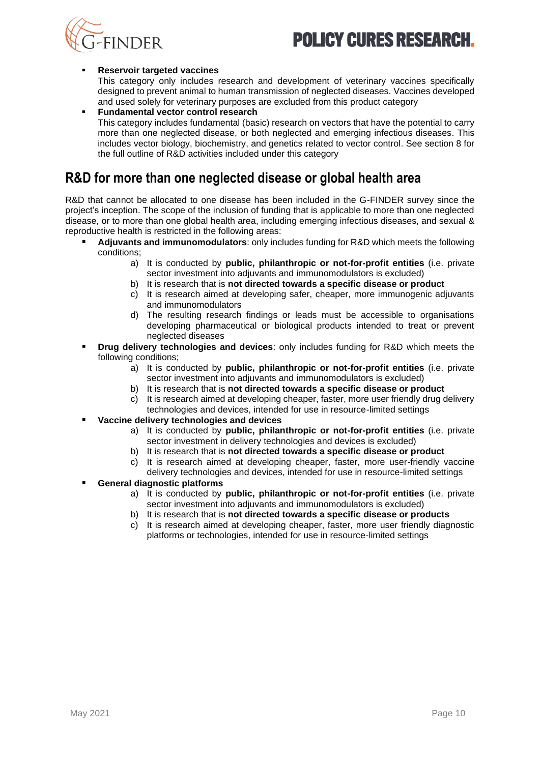

#### **Reservoir targeted vaccines**

This category only includes research and development of veterinary vaccines specifically designed to prevent animal to human transmission of neglected diseases. Vaccines developed and used solely for veterinary purposes are excluded from this product category

**Fundamental vector control research** This category includes fundamental (basic) research on vectors that have the potential to carry more than one neglected disease, or both neglected and emerging infectious diseases. This includes vector biology, biochemistry, and genetics related to vector control. See section 8 for the full outline of R&D activities included under this category

## <span id="page-9-0"></span>**R&D for more than one neglected disease or global health area**

R&D that cannot be allocated to one disease has been included in the G-FINDER survey since the project's inception. The scope of the inclusion of funding that is applicable to more than one neglected disease, or to more than one global health area, including emerging infectious diseases, and sexual & reproductive health is restricted in the following areas:

- **Adjuvants and immunomodulators**: only includes funding for R&D which meets the following conditions;
	- a) It is conducted by **public, philanthropic or not-for-profit entities** (i.e. private sector investment into adjuvants and immunomodulators is excluded)
	- b) It is research that is **not directed towards a specific disease or product**
	- c) It is research aimed at developing safer, cheaper, more immunogenic adjuvants and immunomodulators
	- d) The resulting research findings or leads must be accessible to organisations developing pharmaceutical or biological products intended to treat or prevent neglected diseases
- **Drug delivery technologies and devices:** only includes funding for R&D which meets the following conditions;
	- a) It is conducted by **public, philanthropic or not-for-profit entities** (i.e. private sector investment into adjuvants and immunomodulators is excluded)
	- b) It is research that is **not directed towards a specific disease or product**
	- c) It is research aimed at developing cheaper, faster, more user friendly drug delivery technologies and devices, intended for use in resource-limited settings
- **Vaccine delivery technologies and devices**
	- a) It is conducted by **public, philanthropic or not-for-profit entities** (i.e. private sector investment in delivery technologies and devices is excluded)
	- b) It is research that is **not directed towards a specific disease or product**
	- c) It is research aimed at developing cheaper, faster, more user-friendly vaccine delivery technologies and devices, intended for use in resource-limited settings
- **General diagnostic platforms** 
	- a) It is conducted by **public, philanthropic or not-for-profit entities** (i.e. private sector investment into adjuvants and immunomodulators is excluded)
	- b) It is research that is **not directed towards a specific disease or products**
	- c) It is research aimed at developing cheaper, faster, more user friendly diagnostic platforms or technologies, intended for use in resource-limited settings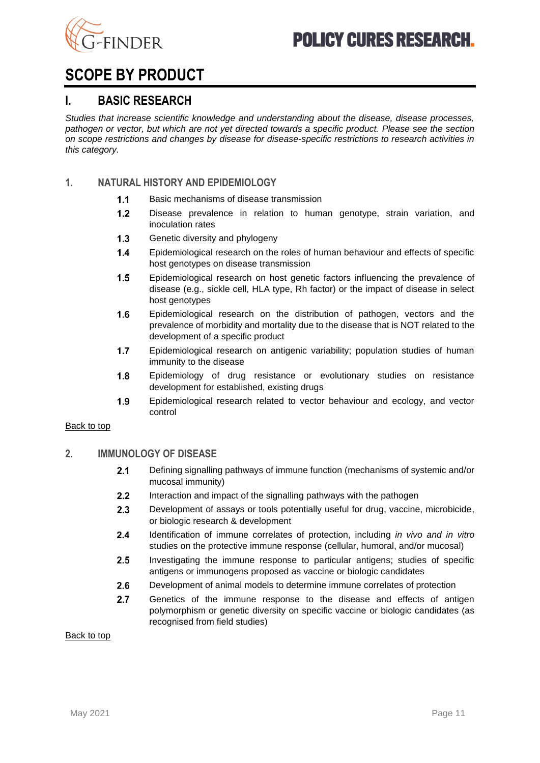

# <span id="page-10-0"></span>**SCOPE BY PRODUCT**

## <span id="page-10-1"></span>**I. BASIC RESEARCH**

*Studies that increase scientific knowledge and understanding about the disease, disease processes, pathogen or vector, but which are not yet directed towards a specific product. Please see the section on scope restrictions and changes by disease for disease-specific restrictions to research activities in this category.*

## **1. NATURAL HISTORY AND EPIDEMIOLOGY**

- $1.1$ Basic mechanisms of disease transmission
- $1.2$ Disease prevalence in relation to human genotype, strain variation, and inoculation rates
- $1.3$ Genetic diversity and phylogeny
- $1.4$ Epidemiological research on the roles of human behaviour and effects of specific host genotypes on disease transmission
- $1.5$ Epidemiological research on host genetic factors influencing the prevalence of disease (e.g., sickle cell, HLA type, Rh factor) or the impact of disease in select host genotypes
- $1.6$ Epidemiological research on the distribution of pathogen, vectors and the prevalence of morbidity and mortality due to the disease that is NOT related to the development of a specific product
- $1.7$ Epidemiological research on antigenic variability; population studies of human immunity to the disease
- $1.8$ Epidemiology of drug resistance or evolutionary studies on resistance development for established, existing drugs
- $1.9$ Epidemiological research related to vector behaviour and ecology, and vector control

#### [Back to top](#page-0-1)

#### **2. IMMUNOLOGY OF DISEASE**

- $2.1$ Defining signalling pathways of immune function (mechanisms of systemic and/or mucosal immunity)
- $2.2$ Interaction and impact of the signalling pathways with the pathogen
- $2.3$ Development of assays or tools potentially useful for drug, vaccine, microbicide, or biologic research & development
- $24$ Identification of immune correlates of protection, including *in vivo and in vitro* studies on the protective immune response (cellular, humoral, and/or mucosal)
- $2.5$ Investigating the immune response to particular antigens; studies of specific antigens or immunogens proposed as vaccine or biologic candidates
- $2.6$ Development of animal models to determine immune correlates of protection
- $2.7$ Genetics of the immune response to the disease and effects of antigen polymorphism or genetic diversity on specific vaccine or biologic candidates (as recognised from field studies)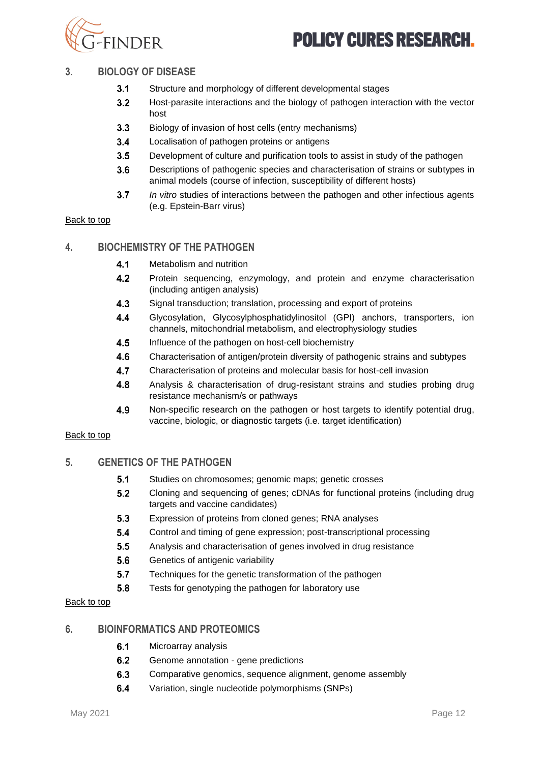

### **3. BIOLOGY OF DISEASE**

- $3.1$ Structure and morphology of different developmental stages
- $3.2$ Host-parasite interactions and the biology of pathogen interaction with the vector host
- $3.3$ Biology of invasion of host cells (entry mechanisms)
- $3.4$ Localisation of pathogen proteins or antigens
- $3.5$ Development of culture and purification tools to assist in study of the pathogen
- $3.6$ Descriptions of pathogenic species and characterisation of strains or subtypes in animal models (course of infection, susceptibility of different hosts)
- $3.7$ *In vitro* studies of interactions between the pathogen and other infectious agents (e.g. Epstein-Barr virus)

#### [Back to top](#page-0-1)

### **4. BIOCHEMISTRY OF THE PATHOGEN**

- $4.1$ Metabolism and nutrition
- $4.2$ Protein sequencing, enzymology, and protein and enzyme characterisation (including antigen analysis)
- $4.3$ Signal transduction; translation, processing and export of proteins
- $4.4$ Glycosylation, Glycosylphosphatidylinositol (GPI) anchors, transporters, ion channels, mitochondrial metabolism, and electrophysiology studies
- $4.5$ Influence of the pathogen on host-cell biochemistry
- 4.6 Characterisation of antigen/protein diversity of pathogenic strains and subtypes
- $4.7$ Characterisation of proteins and molecular basis for host-cell invasion
- $4.8$ Analysis & characterisation of drug-resistant strains and studies probing drug resistance mechanism/s or pathways
- 4.9 Non-specific research on the pathogen or host targets to identify potential drug, vaccine, biologic, or diagnostic targets (i.e. target identification)

#### [Back to top](#page-0-1)

## **5. GENETICS OF THE PATHOGEN**

- $5.1$ Studies on chromosomes; genomic maps; genetic crosses
- $5.2$ Cloning and sequencing of genes; cDNAs for functional proteins (including drug targets and vaccine candidates)
- 5.3 Expression of proteins from cloned genes; RNA analyses
- 54 Control and timing of gene expression; post-transcriptional processing
- $5.5$ Analysis and characterisation of genes involved in drug resistance
- 5.6 Genetics of antigenic variability
- $5.7$ Techniques for the genetic transformation of the pathogen
- 5.8 Tests for genotyping the pathogen for laboratory use

#### [Back to top](#page-0-1)

#### **6. BIOINFORMATICS AND PROTEOMICS**

- $6.1$ Microarray analysis
- $6.2$ Genome annotation - gene predictions
- 6.3 Comparative genomics, sequence alignment, genome assembly
- 6.4 Variation, single nucleotide polymorphisms (SNPs)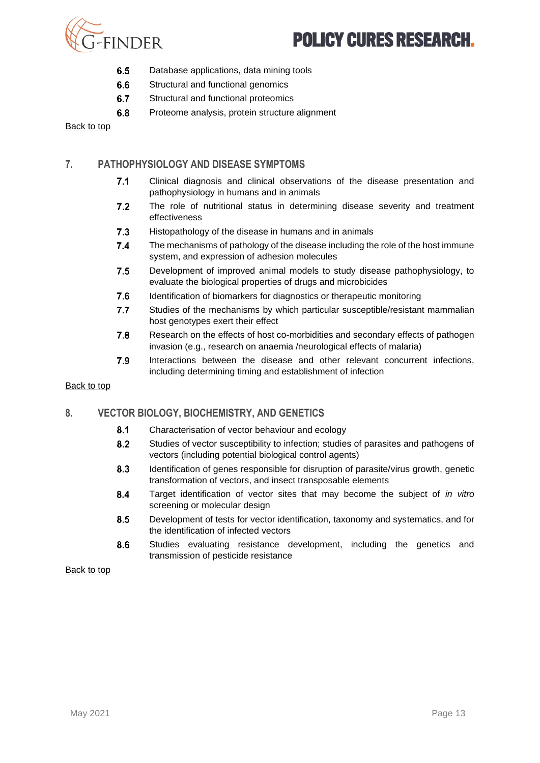

- 6.5 Database applications, data mining tools
- 6.6 Structural and functional genomics
- 6.7 Structural and functional proteomics
- 6.8 Proteome analysis, protein structure alignment

[Back to top](#page-0-1)

### **7. PATHOPHYSIOLOGY AND DISEASE SYMPTOMS**

- Clinical diagnosis and clinical observations of the disease presentation and  $7.1$ pathophysiology in humans and in animals
- $7.2$ The role of nutritional status in determining disease severity and treatment effectiveness
- $7.3$ Histopathology of the disease in humans and in animals
- $7.4$ The mechanisms of pathology of the disease including the role of the host immune system, and expression of adhesion molecules
- $7.5$ Development of improved animal models to study disease pathophysiology, to evaluate the biological properties of drugs and microbicides
- 7.6 Identification of biomarkers for diagnostics or therapeutic monitoring
- $7.7$ Studies of the mechanisms by which particular susceptible/resistant mammalian host genotypes exert their effect
- 7.8 Research on the effects of host co-morbidities and secondary effects of pathogen invasion (e.g., research on anaemia /neurological effects of malaria)
- 7.9 Interactions between the disease and other relevant concurrent infections, including determining timing and establishment of infection

#### [Back to top](#page-0-1)

#### **8. VECTOR BIOLOGY, BIOCHEMISTRY, AND GENETICS**

- $8.1$ Characterisation of vector behaviour and ecology
- $8.2$ Studies of vector susceptibility to infection; studies of parasites and pathogens of vectors (including potential biological control agents)
- 8.3 Identification of genes responsible for disruption of parasite/virus growth, genetic transformation of vectors, and insect transposable elements
- 8.4 Target identification of vector sites that may become the subject of *in vitro* screening or molecular design
- 8.5 Development of tests for vector identification, taxonomy and systematics, and for the identification of infected vectors
- 8.6 Studies evaluating resistance development, including the genetics and transmission of pesticide resistance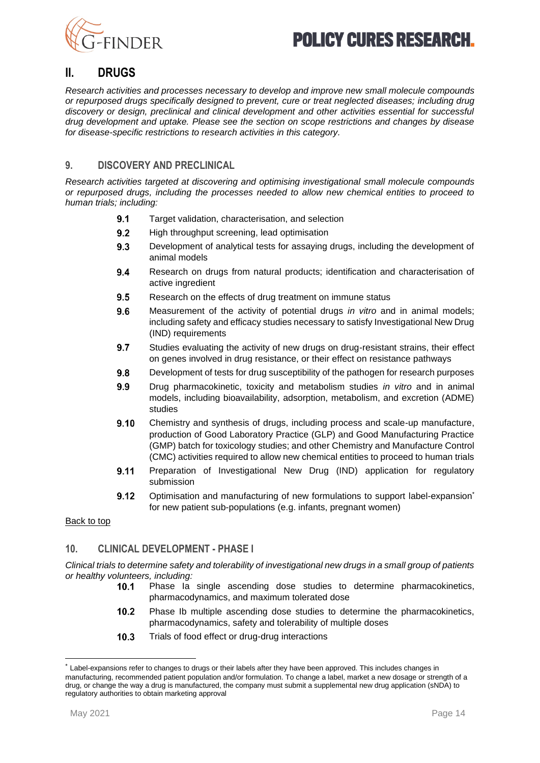



## <span id="page-13-0"></span>**II. DRUGS**

*Research activities and processes necessary to develop and improve new small molecule compounds or repurposed drugs specifically designed to prevent, cure or treat neglected diseases; including drug discovery or design, preclinical and clinical development and other activities essential for successful drug development and uptake. Please see the section on scope restrictions and changes by disease for disease-specific restrictions to research activities in this category.*

### **9. DISCOVERY AND PRECLINICAL**

*Research activities targeted at discovering and optimising investigational small molecule compounds or repurposed drugs, including the processes needed to allow new chemical entities to proceed to human trials; including:* 

- $9.1$ Target validation, characterisation, and selection
- $9.2$ High throughput screening, lead optimisation
- 9.3 Development of analytical tests for assaying drugs, including the development of animal models
- 9.4 Research on drugs from natural products; identification and characterisation of active ingredient
- $9.5$ Research on the effects of drug treatment on immune status
- 9.6 Measurement of the activity of potential drugs *in vitro* and in animal models; including safety and efficacy studies necessary to satisfy Investigational New Drug (IND) requirements
- $9.7$ Studies evaluating the activity of new drugs on drug-resistant strains, their effect on genes involved in drug resistance, or their effect on resistance pathways
- $9.8$ Development of tests for drug susceptibility of the pathogen for research purposes
- 9.9 Drug pharmacokinetic, toxicity and metabolism studies *in vitro* and in animal models, including bioavailability, adsorption, metabolism, and excretion (ADME) studies
- $9.10$ Chemistry and synthesis of drugs, including process and scale-up manufacture, production of Good Laboratory Practice (GLP) and Good Manufacturing Practice (GMP) batch for toxicology studies; and other Chemistry and Manufacture Control (CMC) activities required to allow new chemical entities to proceed to human trials
- $9.11$ Preparation of Investigational New Drug (IND) application for regulatory submission
- 9.12 Optimisation and manufacturing of new formulations to support label-expansion\* for new patient sub-populations (e.g. infants, pregnant women)

#### [Back to top](#page-0-1)

#### **10. CLINICAL DEVELOPMENT - PHASE I**

*Clinical trials to determine safety and tolerability of investigational new drugs in a small group of patients or healthy volunteers, including:*

- $10.1$ Phase Ia single ascending dose studies to determine pharmacokinetics, pharmacodynamics, and maximum tolerated dose
- $10.2$ Phase Ib multiple ascending dose studies to determine the pharmacokinetics, pharmacodynamics, safety and tolerability of multiple doses
- Trials of food effect or drug-drug interactions  $10.3$

<sup>\*</sup> Label-expansions refer to changes to drugs or their labels after they have been approved. This includes changes in manufacturing, recommended patient population and/or formulation. To change a label, market a new dosage or strength of a drug, or change the way a drug is manufactured, the company must submit a supplemental new drug application (sNDA) to regulatory authorities to obtain marketing approval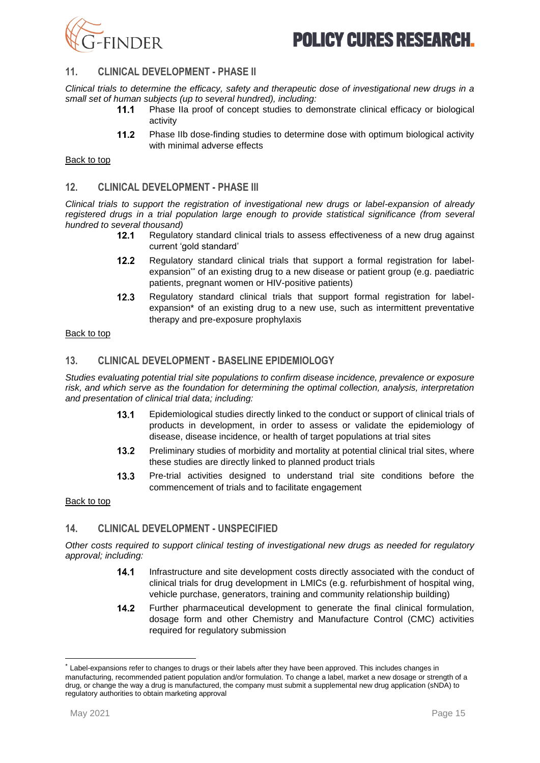

### **11. CLINICAL DEVELOPMENT - PHASE II**

*Clinical trials to determine the efficacy, safety and therapeutic dose of investigational new drugs in a small set of human subjects (up to several hundred), including:*

- $11.1$ Phase IIa proof of concept studies to demonstrate clinical efficacy or biological activity
- $11.2$ Phase IIb dose-finding studies to determine dose with optimum biological activity with minimal adverse effects

#### [Back to top](#page-0-1)

### **12. CLINICAL DEVELOPMENT - PHASE III**

*Clinical trials to support the registration of investigational new drugs or label-expansion of already registered drugs in a trial population large enough to provide statistical significance (from several hundred to several thousand)*

- Regulatory standard clinical trials to assess effectiveness of a new drug against current 'gold standard'
- $12.2$ Regulatory standard clinical trials that support a formal registration for labelexpansion\* of an existing drug to a new disease or patient group (e.g. paediatric patients, pregnant women or HIV-positive patients)
- $12.3$ Regulatory standard clinical trials that support formal registration for labelexpansion\* of an existing drug to a new use, such as intermittent preventative therapy and pre-exposure prophylaxis

#### [Back to top](#page-0-1)

#### **13. CLINICAL DEVELOPMENT - BASELINE EPIDEMIOLOGY**

*Studies evaluating potential trial site populations to confirm disease incidence, prevalence or exposure risk, and which serve as the foundation for determining the optimal collection, analysis, interpretation and presentation of clinical trial data; including:* 

- Epidemiological studies directly linked to the conduct or support of clinical trials of  $13.1$ products in development, in order to assess or validate the epidemiology of disease, disease incidence, or health of target populations at trial sites
- $13.2$ Preliminary studies of morbidity and mortality at potential clinical trial sites, where these studies are directly linked to planned product trials
- $13.3$ Pre-trial activities designed to understand trial site conditions before the commencement of trials and to facilitate engagement

#### [Back to top](#page-0-1)

#### **14. CLINICAL DEVELOPMENT - UNSPECIFIED**

*Other costs required to support clinical testing of investigational new drugs as needed for regulatory approval; including:*

- $14.1$ Infrastructure and site development costs directly associated with the conduct of clinical trials for drug development in LMICs (e.g. refurbishment of hospital wing, vehicle purchase, generators, training and community relationship building)
- $14.2$ Further pharmaceutical development to generate the final clinical formulation, dosage form and other Chemistry and Manufacture Control (CMC) activities required for requlatory submission

<sup>\*</sup> Label-expansions refer to changes to drugs or their labels after they have been approved. This includes changes in manufacturing, recommended patient population and/or formulation. To change a label, market a new dosage or strength of a drug, or change the way a drug is manufactured, the company must submit a supplemental new drug application (sNDA) to regulatory authorities to obtain marketing approval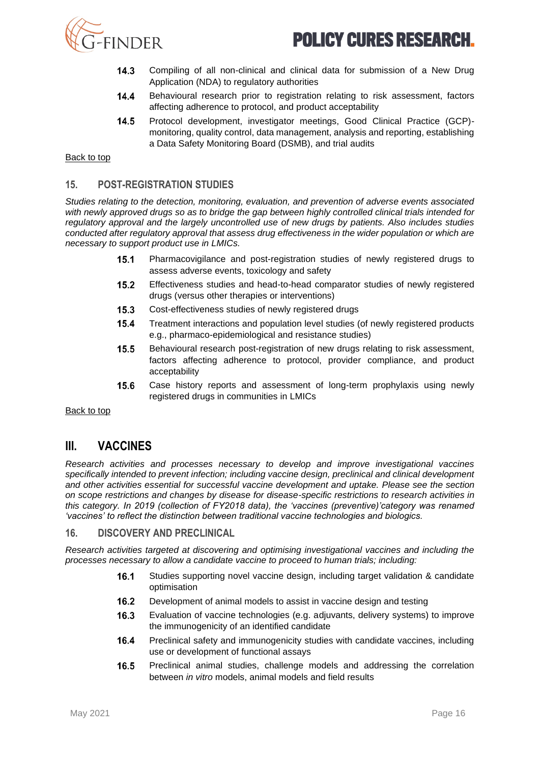

- $14.3$ Compiling of all non-clinical and clinical data for submission of a New Drug Application (NDA) to regulatory authorities
- $14.4$ Behavioural research prior to registration relating to risk assessment, factors affecting adherence to protocol, and product acceptability
- $14.5$ Protocol development, investigator meetings, Good Clinical Practice (GCP) monitoring, quality control, data management, analysis and reporting, establishing a Data Safety Monitoring Board (DSMB), and trial audits

[Back to top](#page-0-1)

### **15. POST-REGISTRATION STUDIES**

*Studies relating to the detection, monitoring, evaluation, and prevention of adverse events associated with newly approved drugs so as to bridge the gap between highly controlled clinical trials intended for regulatory approval and the largely uncontrolled use of new drugs by patients. Also includes studies conducted after regulatory approval that assess drug effectiveness in the wider population or which are necessary to support product use in LMICs.* 

- $15.1$ Pharmacovigilance and post-registration studies of newly registered drugs to assess adverse events, toxicology and safety
- $15.2$ Effectiveness studies and head-to-head comparator studies of newly registered drugs (versus other therapies or interventions)
- $15.3$ Cost-effectiveness studies of newly registered drugs
- $15.4$ Treatment interactions and population level studies (of newly registered products e.g., pharmaco-epidemiological and resistance studies)
- $15.5$ Behavioural research post-registration of new drugs relating to risk assessment, factors affecting adherence to protocol, provider compliance, and product acceptability
- 15.6 Case history reports and assessment of long-term prophylaxis using newly registered drugs in communities in LMICs

<span id="page-15-0"></span>[Back to top](#page-0-1)

## **III. VACCINES**

*Research activities and processes necessary to develop and improve investigational vaccines specifically intended to prevent infection; including vaccine design, preclinical and clinical development and other activities essential for successful vaccine development and uptake. Please see the section on scope restrictions and changes by disease for disease-specific restrictions to research activities in this category. In 2019 (collection of FY2018 data), the 'vaccines (preventive)'category was renamed 'vaccines' to reflect the distinction between traditional vaccine technologies and biologics.*

#### **16. DISCOVERY AND PRECLINICAL**

*Research activities targeted at discovering and optimising investigational vaccines and including the processes necessary to allow a candidate vaccine to proceed to human trials; including:* 

- $16.1$ Studies supporting novel vaccine design, including target validation & candidate optimisation
- $16.2$ Development of animal models to assist in vaccine design and testing
- $16.3$ Evaluation of vaccine technologies (e.g. adjuvants, delivery systems) to improve the immunogenicity of an identified candidate
- $16.4$ Preclinical safety and immunogenicity studies with candidate vaccines, including use or development of functional assays
- Preclinical animal studies, challenge models and addressing the correlation  $16.5$ between *in vitro* models, animal models and field results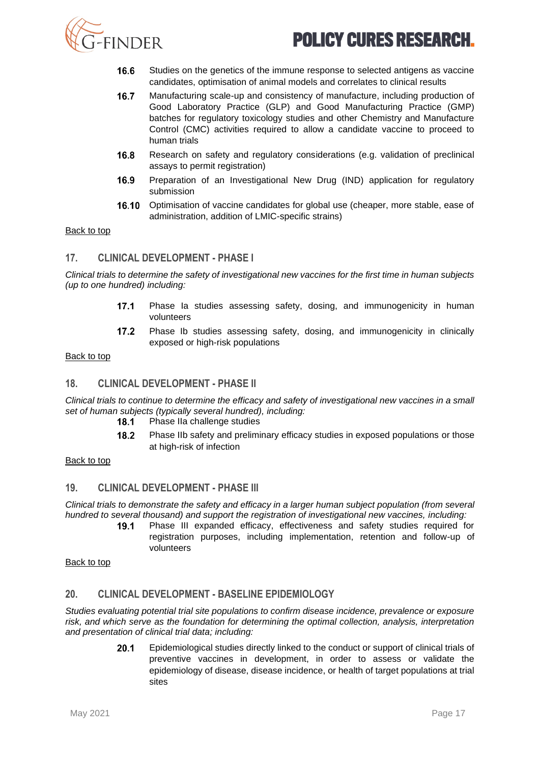

- 16.6 Studies on the genetics of the immune response to selected antigens as vaccine candidates, optimisation of animal models and correlates to clinical results
- $16.7$ Manufacturing scale-up and consistency of manufacture, including production of Good Laboratory Practice (GLP) and Good Manufacturing Practice (GMP) batches for regulatory toxicology studies and other Chemistry and Manufacture Control (CMC) activities required to allow a candidate vaccine to proceed to human trials
- 16.8 Research on safety and regulatory considerations (e.g. validation of preclinical assays to permit registration)
- 16.9 Preparation of an Investigational New Drug (IND) application for regulatory submission
- 16.10 Optimisation of vaccine candidates for global use (cheaper, more stable, ease of administration, addition of LMIC-specific strains)

#### [Back to top](#page-0-1)

### **17. CLINICAL DEVELOPMENT - PHASE I**

*Clinical trials to determine the safety of investigational new vaccines for the first time in human subjects (up to one hundred) including:*

- $17.1$ Phase Ia studies assessing safety, dosing, and immunogenicity in human volunteers
- $17.2$ Phase Ib studies assessing safety, dosing, and immunogenicity in clinically exposed or high-risk populations

#### [Back to top](#page-0-1)

## **18. CLINICAL DEVELOPMENT - PHASE II**

*Clinical trials to continue to determine the efficacy and safety of investigational new vaccines in a small set of human subjects (typically several hundred), including:*

- $18.1$ Phase IIa challenge studies
- 18.2 Phase IIb safety and preliminary efficacy studies in exposed populations or those at high-risk of infection

[Back to top](#page-0-1)

#### **19. CLINICAL DEVELOPMENT - PHASE III**

*Clinical trials to demonstrate the safety and efficacy in a larger human subject population (from several hundred to several thousand) and support the registration of investigational new vaccines, including:*

Phase III expanded efficacy, effectiveness and safety studies required for  $19.1$ registration purposes, including implementation, retention and follow-up of volunteers

[Back to top](#page-0-1)

### **20. CLINICAL DEVELOPMENT - BASELINE EPIDEMIOLOGY**

*Studies evaluating potential trial site populations to confirm disease incidence, prevalence or exposure risk, and which serve as the foundation for determining the optimal collection, analysis, interpretation and presentation of clinical trial data; including:* 

> $20.1$ Epidemiological studies directly linked to the conduct or support of clinical trials of preventive vaccines in development, in order to assess or validate the epidemiology of disease, disease incidence, or health of target populations at trial sites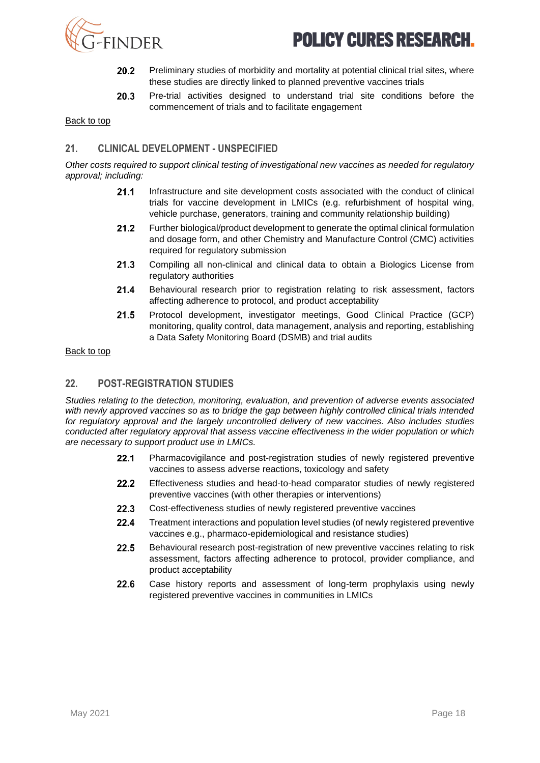

- 20.2 Preliminary studies of morbidity and mortality at potential clinical trial sites, where these studies are directly linked to planned preventive vaccines trials
- $20.3$ Pre-trial activities designed to understand trial site conditions before the commencement of trials and to facilitate engagement

[Back to top](#page-0-1)

#### **21. CLINICAL DEVELOPMENT - UNSPECIFIED**

*Other costs required to support clinical testing of investigational new vaccines as needed for regulatory approval; including:*

- $21.1$ Infrastructure and site development costs associated with the conduct of clinical trials for vaccine development in LMICs (e.g. refurbishment of hospital wing, vehicle purchase, generators, training and community relationship building)
- $21.2$ Further biological/product development to generate the optimal clinical formulation and dosage form, and other Chemistry and Manufacture Control (CMC) activities required for regulatory submission
- $21.3$ Compiling all non-clinical and clinical data to obtain a Biologics License from regulatory authorities
- $21.4$ Behavioural research prior to registration relating to risk assessment, factors affecting adherence to protocol, and product acceptability
- $21.5$ Protocol development, investigator meetings, Good Clinical Practice (GCP) monitoring, quality control, data management, analysis and reporting, establishing a Data Safety Monitoring Board (DSMB) and trial audits

[Back to top](#page-0-1)

## **22. POST-REGISTRATION STUDIES**

*Studies relating to the detection, monitoring, evaluation, and prevention of adverse events associated with newly approved vaccines so as to bridge the gap between highly controlled clinical trials intended for regulatory approval and the largely uncontrolled delivery of new vaccines. Also includes studies conducted after regulatory approval that assess vaccine effectiveness in the wider population or which are necessary to support product use in LMICs.* 

- $22.1$ Pharmacovigilance and post-registration studies of newly registered preventive vaccines to assess adverse reactions, toxicology and safety
- $22.2$ Effectiveness studies and head-to-head comparator studies of newly registered preventive vaccines (with other therapies or interventions)
- $22.3$ Cost-effectiveness studies of newly registered preventive vaccines
- $22.4$ Treatment interactions and population level studies (of newly registered preventive vaccines e.g., pharmaco-epidemiological and resistance studies)
- $22.5$ Behavioural research post-registration of new preventive vaccines relating to risk assessment, factors affecting adherence to protocol, provider compliance, and product acceptability
- <span id="page-17-0"></span>22.6 Case history reports and assessment of long-term prophylaxis using newly registered preventive vaccines in communities in LMICs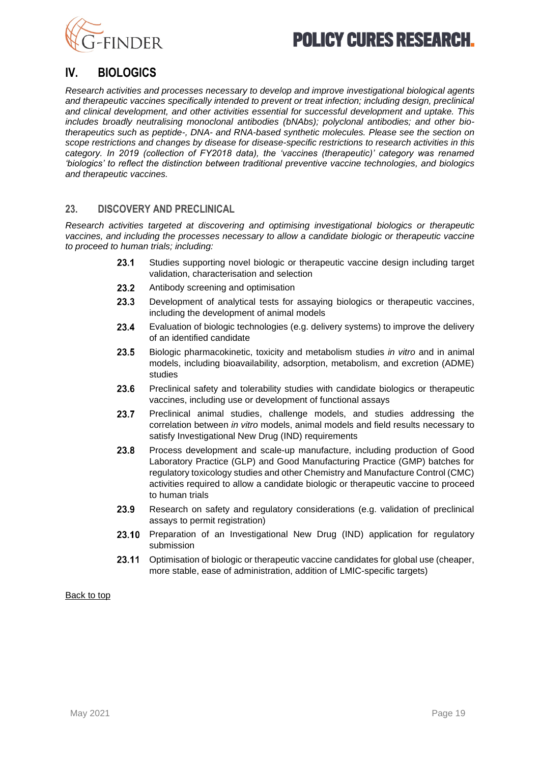



## **IV. BIOLOGICS**

*Research activities and processes necessary to develop and improve investigational biological agents and therapeutic vaccines specifically intended to prevent or treat infection; including design, preclinical and clinical development, and other activities essential for successful development and uptake. This includes broadly neutralising monoclonal antibodies (bNAbs); polyclonal antibodies; and other biotherapeutics such as peptide-, DNA- and RNA-based synthetic molecules. Please see the section on scope restrictions and changes by disease for disease-specific restrictions to research activities in this category. In 2019 (collection of FY2018 data), the 'vaccines (therapeutic)' category was renamed 'biologics' to reflect the distinction between traditional preventive vaccine technologies, and biologics and therapeutic vaccines.*

### **23. DISCOVERY AND PRECLINICAL**

*Research activities targeted at discovering and optimising investigational biologics or therapeutic vaccines, and including the processes necessary to allow a candidate biologic or therapeutic vaccine to proceed to human trials; including:*

- $23.1$ Studies supporting novel biologic or therapeutic vaccine design including target validation, characterisation and selection
- 23.2 Antibody screening and optimisation
- 23.3 Development of analytical tests for assaying biologics or therapeutic vaccines, including the development of animal models
- 23.4 Evaluation of biologic technologies (e.g. delivery systems) to improve the delivery of an identified candidate
- 23.5 Biologic pharmacokinetic, toxicity and metabolism studies *in vitro* and in animal models, including bioavailability, adsorption, metabolism, and excretion (ADME) studies
- 23.6 Preclinical safety and tolerability studies with candidate biologics or therapeutic vaccines, including use or development of functional assays
- 23.7 Preclinical animal studies, challenge models, and studies addressing the correlation between *in vitro* models, animal models and field results necessary to satisfy Investigational New Drug (IND) requirements
- 23.8 Process development and scale-up manufacture, including production of Good Laboratory Practice (GLP) and Good Manufacturing Practice (GMP) batches for regulatory toxicology studies and other Chemistry and Manufacture Control (CMC) activities required to allow a candidate biologic or therapeutic vaccine to proceed to human trials
- 23.9 Research on safety and regulatory considerations (e.g. validation of preclinical assays to permit registration)
- 23.10 Preparation of an Investigational New Drug (IND) application for regulatory submission
- 23.11 Optimisation of biologic or therapeutic vaccine candidates for global use (cheaper, more stable, ease of administration, addition of LMIC-specific targets)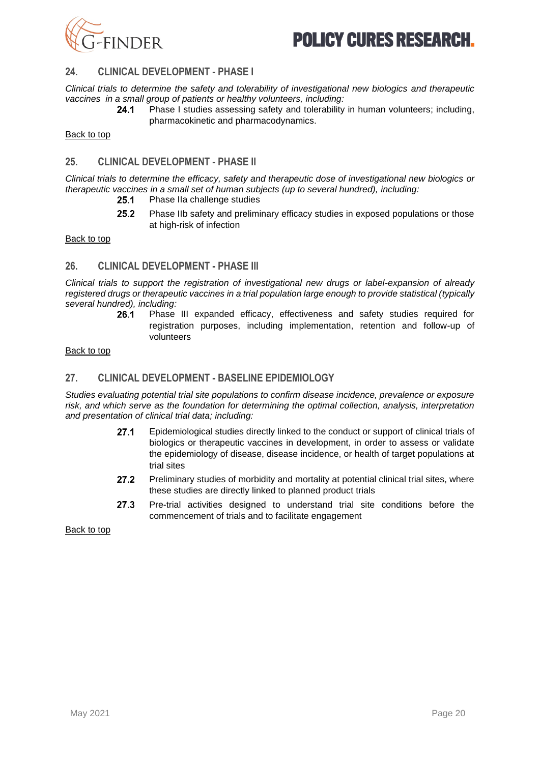

### **24. CLINICAL DEVELOPMENT - PHASE I**

*Clinical trials to determine the safety and tolerability of investigational new biologics and therapeutic vaccines in a small group of patients or healthy volunteers, including:*

 $24.1$ Phase I studies assessing safety and tolerability in human volunteers; including, pharmacokinetic and pharmacodynamics.

[Back to top](#page-0-1)

### **25. CLINICAL DEVELOPMENT - PHASE II**

*Clinical trials to determine the efficacy, safety and therapeutic dose of investigational new biologics or therapeutic vaccines in a small set of human subjects (up to several hundred), including:*

- 25.1 Phase IIa challenge studies
- $25.2$ Phase IIb safety and preliminary efficacy studies in exposed populations or those at high-risk of infection

[Back to top](#page-0-1)

#### **26. CLINICAL DEVELOPMENT - PHASE III**

*Clinical trials to support the registration of investigational new drugs or label-expansion of already registered drugs or therapeutic vaccines in a trial population large enough to provide statistical (typically several hundred), including:*

Phase III expanded efficacy, effectiveness and safety studies required for registration purposes, including implementation, retention and follow-up of volunteers

#### [Back to top](#page-0-1)

#### **27. CLINICAL DEVELOPMENT - BASELINE EPIDEMIOLOGY**

*Studies evaluating potential trial site populations to confirm disease incidence, prevalence or exposure risk, and which serve as the foundation for determining the optimal collection, analysis, interpretation and presentation of clinical trial data; including:* 

- $27.1$ Epidemiological studies directly linked to the conduct or support of clinical trials of biologics or therapeutic vaccines in development, in order to assess or validate the epidemiology of disease, disease incidence, or health of target populations at trial sites
- 27.2 Preliminary studies of morbidity and mortality at potential clinical trial sites, where these studies are directly linked to planned product trials
- 27.3 Pre-trial activities designed to understand trial site conditions before the commencement of trials and to facilitate engagement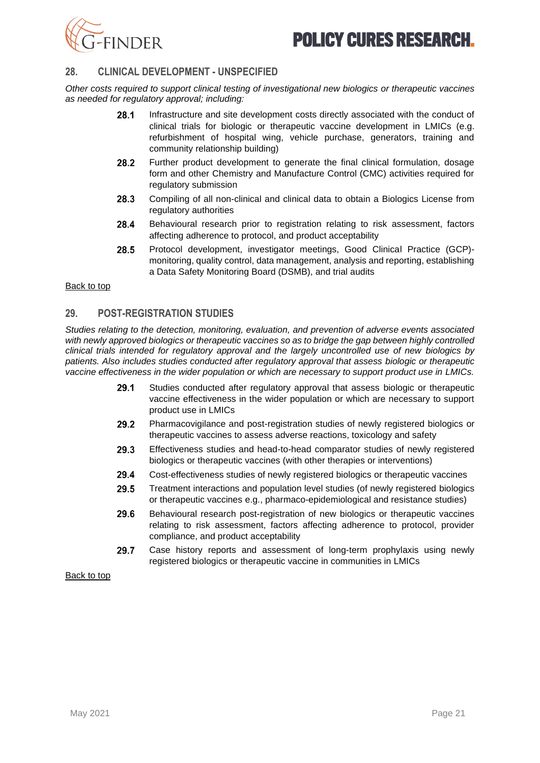

## **28. CLINICAL DEVELOPMENT - UNSPECIFIED**

*Other costs required to support clinical testing of investigational new biologics or therapeutic vaccines as needed for regulatory approval; including:* 

- 28.1 Infrastructure and site development costs directly associated with the conduct of clinical trials for biologic or therapeutic vaccine development in LMICs (e.g. refurbishment of hospital wing, vehicle purchase, generators, training and community relationship building)
- 28.2 Further product development to generate the final clinical formulation, dosage form and other Chemistry and Manufacture Control (CMC) activities required for regulatory submission
- 28.3 Compiling of all non-clinical and clinical data to obtain a Biologics License from regulatory authorities
- 28.4 Behavioural research prior to registration relating to risk assessment, factors affecting adherence to protocol, and product acceptability
- 28.5 Protocol development, investigator meetings, Good Clinical Practice (GCP) monitoring, quality control, data management, analysis and reporting, establishing a Data Safety Monitoring Board (DSMB), and trial audits

#### [Back to top](#page-0-1)

#### **29. POST-REGISTRATION STUDIES**

*Studies relating to the detection, monitoring, evaluation, and prevention of adverse events associated with newly approved biologics or therapeutic vaccines so as to bridge the gap between highly controlled clinical trials intended for regulatory approval and the largely uncontrolled use of new biologics by patients. Also includes studies conducted after regulatory approval that assess biologic or therapeutic vaccine effectiveness in the wider population or which are necessary to support product use in LMICs.*

- 29.1 Studies conducted after regulatory approval that assess biologic or therapeutic vaccine effectiveness in the wider population or which are necessary to support product use in LMICs
- 29.2 Pharmacovigilance and post-registration studies of newly registered biologics or therapeutic vaccines to assess adverse reactions, toxicology and safety
- 29.3 Effectiveness studies and head-to-head comparator studies of newly registered biologics or therapeutic vaccines (with other therapies or interventions)
- 29.4 Cost-effectiveness studies of newly registered biologics or therapeutic vaccines
- 29.5 Treatment interactions and population level studies (of newly registered biologics or therapeutic vaccines e.g., pharmaco-epidemiological and resistance studies)
- 29.6 Behavioural research post-registration of new biologics or therapeutic vaccines relating to risk assessment, factors affecting adherence to protocol, provider compliance, and product acceptability
- <span id="page-20-0"></span>29.7 Case history reports and assessment of long-term prophylaxis using newly registered biologics or therapeutic vaccine in communities in LMICs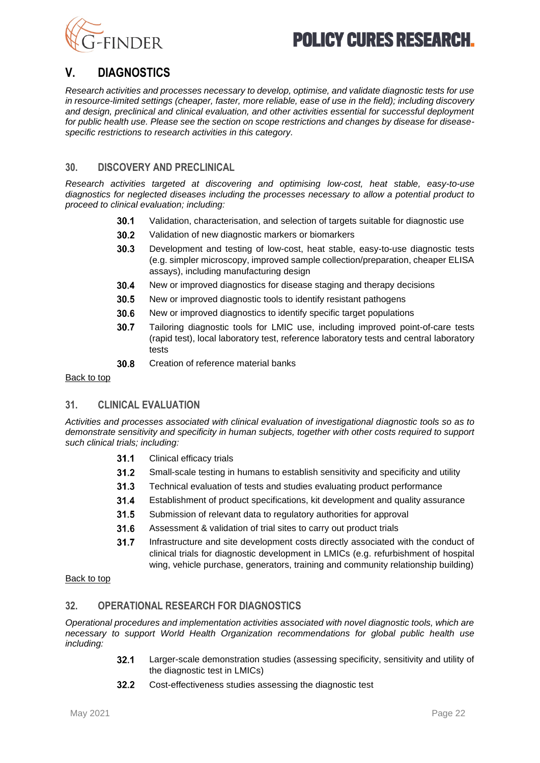



## **V. DIAGNOSTICS**

*Research activities and processes necessary to develop, optimise, and validate diagnostic tests for use in resource-limited settings (cheaper, faster, more reliable, ease of use in the field); including discovery and design, preclinical and clinical evaluation, and other activities essential for successful deployment for public health use. Please see the section on scope restrictions and changes by disease for diseasespecific restrictions to research activities in this category.*

### **30. DISCOVERY AND PRECLINICAL**

*Research activities targeted at discovering and optimising low-cost, heat stable, easy-to-use diagnostics for neglected diseases including the processes necessary to allow a potential product to proceed to clinical evaluation; including:* 

- $30.1$ Validation, characterisation, and selection of targets suitable for diagnostic use
- 30.2 Validation of new diagnostic markers or biomarkers
- $30.3$ Development and testing of low-cost, heat stable, easy-to-use diagnostic tests (e.g. simpler microscopy, improved sample collection/preparation, cheaper ELISA assays), including manufacturing design
- 30.4 New or improved diagnostics for disease staging and therapy decisions
- 30.5 New or improved diagnostic tools to identify resistant pathogens
- 30.6 New or improved diagnostics to identify specific target populations
- 30.7 Tailoring diagnostic tools for LMIC use, including improved point-of-care tests (rapid test), local laboratory test, reference laboratory tests and central laboratory tests
- 30.8 Creation of reference material banks

#### [Back to top](#page-0-1)

#### **31. CLINICAL EVALUATION**

*Activities and processes associated with clinical evaluation of investigational diagnostic tools so as to demonstrate sensitivity and specificity in human subjects, together with other costs required to support such clinical trials; including:* 

- $31.1$ Clinical efficacy trials
- $31.2$ Small-scale testing in humans to establish sensitivity and specificity and utility
- $31.3$ Technical evaluation of tests and studies evaluating product performance
- $31.4$ Establishment of product specifications, kit development and quality assurance
- 31.5 Submission of relevant data to regulatory authorities for approval
- 31.6 Assessment & validation of trial sites to carry out product trials
- $31.7$ Infrastructure and site development costs directly associated with the conduct of clinical trials for diagnostic development in LMICs (e.g. refurbishment of hospital wing, vehicle purchase, generators, training and community relationship building)

#### [Back to top](#page-0-1)

## **32. OPERATIONAL RESEARCH FOR DIAGNOSTICS**

*Operational procedures and implementation activities associated with novel diagnostic tools, which are necessary to support World Health Organization recommendations for global public health use including:* 

- $32.1$ Larger-scale demonstration studies (assessing specificity, sensitivity and utility of the diagnostic test in LMICs)
- $32.2$ Cost-effectiveness studies assessing the diagnostic test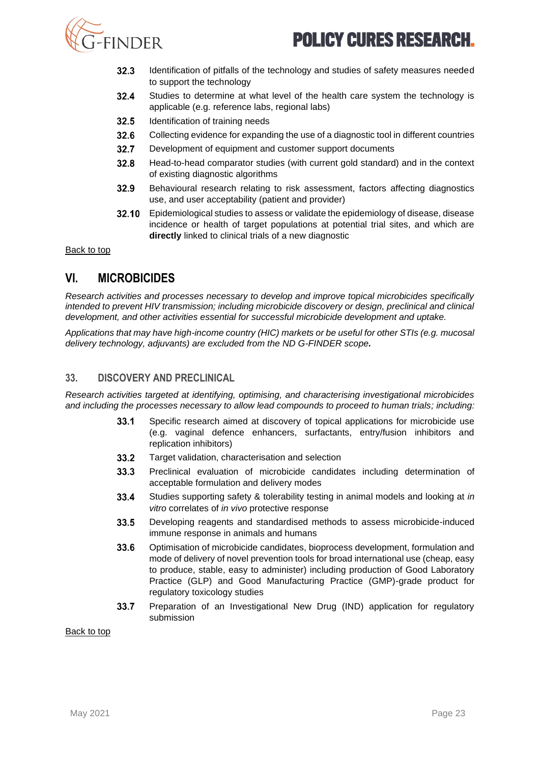

- 32.3 Identification of pitfalls of the technology and studies of safety measures needed to support the technology
- $32.4$ Studies to determine at what level of the health care system the technology is applicable (e.g. reference labs, regional labs)
- $32.5$ Identification of training needs
- 32.6 Collecting evidence for expanding the use of a diagnostic tool in different countries
- 32.7 Development of equipment and customer support documents
- $32.8$ Head-to-head comparator studies (with current gold standard) and in the context of existing diagnostic algorithms
- 32.9 Behavioural research relating to risk assessment, factors affecting diagnostics use, and user acceptability (patient and provider)
- 32.10 Epidemiological studies to assess or validate the epidemiology of disease, disease incidence or health of target populations at potential trial sites, and which are **directly** linked to clinical trials of a new diagnostic

[Back to top](#page-0-1)

## <span id="page-22-0"></span>**VI. MICROBICIDES**

*Research activities and processes necessary to develop and improve topical microbicides specifically intended to prevent HIV transmission; including microbicide discovery or design, preclinical and clinical development, and other activities essential for successful microbicide development and uptake.* 

*Applications that may have high-income country (HIC) markets or be useful for other STIs (e.g. mucosal delivery technology, adjuvants) are excluded from the ND G-FINDER scope.*

#### **33. DISCOVERY AND PRECLINICAL**

*Research activities targeted at identifying, optimising, and characterising investigational microbicides and including the processes necessary to allow lead compounds to proceed to human trials; including:*

- 33.1 Specific research aimed at discovery of topical applications for microbicide use (e.g. vaginal defence enhancers, surfactants, entry/fusion inhibitors and replication inhibitors)
- 33.2 Target validation, characterisation and selection
- 33.3 Preclinical evaluation of microbicide candidates including determination of acceptable formulation and delivery modes
- $33.4$ Studies supporting safety & tolerability testing in animal models and looking at *in vitro* correlates of *in vivo* protective response
- $33.5$ Developing reagents and standardised methods to assess microbicide-induced immune response in animals and humans
- 33.6 Optimisation of microbicide candidates, bioprocess development, formulation and mode of delivery of novel prevention tools for broad international use (cheap, easy to produce, stable, easy to administer) including production of Good Laboratory Practice (GLP) and Good Manufacturing Practice (GMP)-grade product for regulatory toxicology studies
- 33.7 Preparation of an Investigational New Drug (IND) application for regulatory submission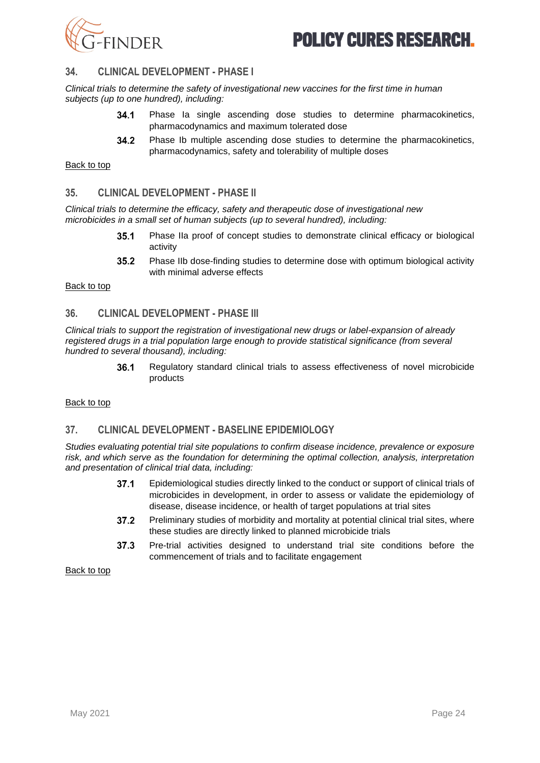

### **34. CLINICAL DEVELOPMENT - PHASE I**

*Clinical trials to determine the safety of investigational new vaccines for the first time in human subjects (up to one hundred), including:*

- 34.1 Phase Ia single ascending dose studies to determine pharmacokinetics, pharmacodynamics and maximum tolerated dose
- 34.2 Phase Ib multiple ascending dose studies to determine the pharmacokinetics, pharmacodynamics, safety and tolerability of multiple doses

#### [Back to top](#page-0-1)

#### **35. CLINICAL DEVELOPMENT - PHASE II**

*Clinical trials to determine the efficacy, safety and therapeutic dose of investigational new microbicides in a small set of human subjects (up to several hundred), including:*

- $35.1$ Phase IIa proof of concept studies to demonstrate clinical efficacy or biological activity
- 35.2 Phase IIb dose-finding studies to determine dose with optimum biological activity with minimal adverse effects

#### [Back to top](#page-0-1)

#### **36. CLINICAL DEVELOPMENT - PHASE III**

*Clinical trials to support the registration of investigational new drugs or label-expansion of already registered drugs in a trial population large enough to provide statistical significance (from several hundred to several thousand), including:*

> 36.1 Regulatory standard clinical trials to assess effectiveness of novel microbicide products

#### [Back to top](#page-0-1)

#### **37. CLINICAL DEVELOPMENT - BASELINE EPIDEMIOLOGY**

*Studies evaluating potential trial site populations to confirm disease incidence, prevalence or exposure risk, and which serve as the foundation for determining the optimal collection, analysis, interpretation and presentation of clinical trial data, including:*

- $37.1$ Epidemiological studies directly linked to the conduct or support of clinical trials of microbicides in development, in order to assess or validate the epidemiology of disease, disease incidence, or health of target populations at trial sites
- 37.2 Preliminary studies of morbidity and mortality at potential clinical trial sites, where these studies are directly linked to planned microbicide trials
- $37.3$ Pre-trial activities designed to understand trial site conditions before the commencement of trials and to facilitate engagement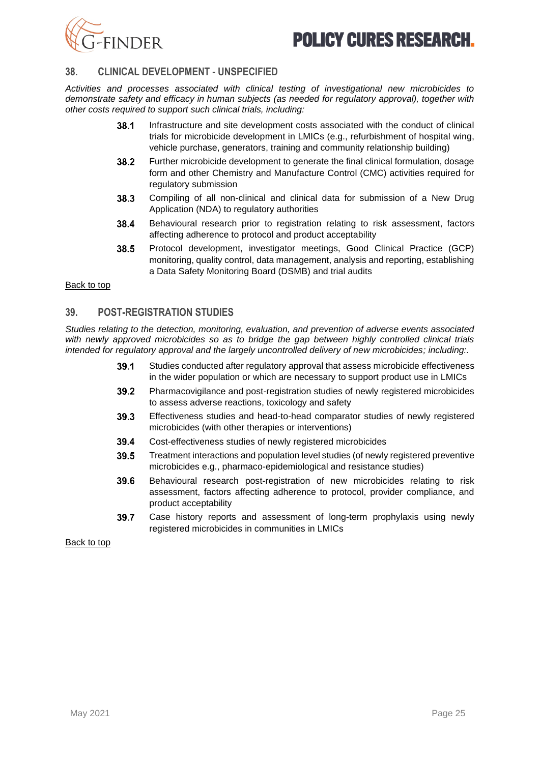

### **38. CLINICAL DEVELOPMENT - UNSPECIFIED**

*Activities and processes associated with clinical testing of investigational new microbicides to demonstrate safety and efficacy in human subjects (as needed for regulatory approval), together with other costs required to support such clinical trials, including:*

- 38.1 Infrastructure and site development costs associated with the conduct of clinical trials for microbicide development in LMICs (e.g., refurbishment of hospital wing, vehicle purchase, generators, training and community relationship building)
- 38.2 Further microbicide development to generate the final clinical formulation, dosage form and other Chemistry and Manufacture Control (CMC) activities required for regulatory submission
- 38.3 Compiling of all non-clinical and clinical data for submission of a New Drug Application (NDA) to regulatory authorities
- 38.4 Behavioural research prior to registration relating to risk assessment, factors affecting adherence to protocol and product acceptability
- 38.5 Protocol development, investigator meetings, Good Clinical Practice (GCP) monitoring, quality control, data management, analysis and reporting, establishing a Data Safety Monitoring Board (DSMB) and trial audits

#### [Back to top](#page-0-1)

#### **39. POST-REGISTRATION STUDIES**

*Studies relating to the detection, monitoring, evaluation, and prevention of adverse events associated with newly approved microbicides so as to bridge the gap between highly controlled clinical trials intended for regulatory approval and the largely uncontrolled delivery of new microbicides; including:.* 

- 39.1 Studies conducted after regulatory approval that assess microbicide effectiveness in the wider population or which are necessary to support product use in LMICs
- 39.2 Pharmacovigilance and post-registration studies of newly registered microbicides to assess adverse reactions, toxicology and safety
- 39.3 Effectiveness studies and head-to-head comparator studies of newly registered microbicides (with other therapies or interventions)
- 39.4 Cost-effectiveness studies of newly registered microbicides
- 39.5 Treatment interactions and population level studies (of newly registered preventive microbicides e.g., pharmaco-epidemiological and resistance studies)
- 39.6 Behavioural research post-registration of new microbicides relating to risk assessment, factors affecting adherence to protocol, provider compliance, and product acceptability
- <span id="page-24-0"></span>39.7 Case history reports and assessment of long-term prophylaxis using newly registered microbicides in communities in LMICs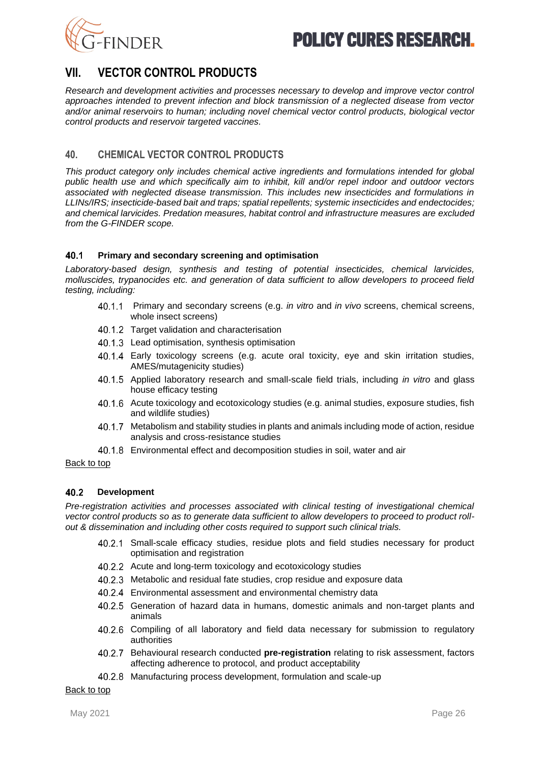



## **VII. VECTOR CONTROL PRODUCTS**

*Research and development activities and processes necessary to develop and improve vector control approaches intended to prevent infection and block transmission of a neglected disease from vector and/or animal reservoirs to human; including novel chemical vector control products, biological vector control products and reservoir targeted vaccines.*

### <span id="page-25-0"></span>**40. CHEMICAL VECTOR CONTROL PRODUCTS**

*This product category only includes chemical active ingredients and formulations intended for global public health use and which specifically aim to inhibit, kill and/or repel indoor and outdoor vectors associated with neglected disease transmission. This includes new insecticides and formulations in LLINs/IRS; insecticide-based bait and traps; spatial repellents; systemic insecticides and endectocides; and chemical larvicides. Predation measures, habitat control and infrastructure measures are excluded from the G-FINDER scope.* 

#### 40.1 **Primary and secondary screening and optimisation**

*Laboratory-based design, synthesis and testing of potential insecticides, chemical larvicides, molluscides, trypanocides etc. and generation of data sufficient to allow developers to proceed field testing, including:*

- $40.1.1$ Primary and secondary screens (e.g. *in vitro* and *in vivo* screens, chemical screens, whole insect screens)
- 40.1.2 Target validation and characterisation
- 40.1.3 Lead optimisation, synthesis optimisation
- Early toxicology screens (e.g. acute oral toxicity, eye and skin irritation studies, AMES/mutagenicity studies)
- Applied laboratory research and small-scale field trials, including *in vitro* and glass house efficacy testing
- Acute toxicology and ecotoxicology studies (e.g. animal studies, exposure studies, fish and wildlife studies)
- 40.1.7 Metabolism and stability studies in plants and animals including mode of action, residue analysis and cross-resistance studies
- Environmental effect and decomposition studies in soil, water and air

[Back to top](#page-0-1)

#### 40.2 **Development**

*Pre-registration activities and processes associated with clinical testing of investigational chemical vector control products so as to generate data sufficient to allow developers to proceed to product rollout & dissemination and including other costs required to support such clinical trials.* 

- 40.2.1 Small-scale efficacy studies, residue plots and field studies necessary for product optimisation and registration
- 40.2.2 Acute and long-term toxicology and ecotoxicology studies
- 40.2.3 Metabolic and residual fate studies, crop residue and exposure data
- Environmental assessment and environmental chemistry data
- Generation of hazard data in humans, domestic animals and non-target plants and animals
- 40.2.6 Compiling of all laboratory and field data necessary for submission to regulatory authorities
- Behavioural research conducted **pre-registration** relating to risk assessment, factors affecting adherence to protocol, and product acceptability
- 40.2.8 Manufacturing process development, formulation and scale-up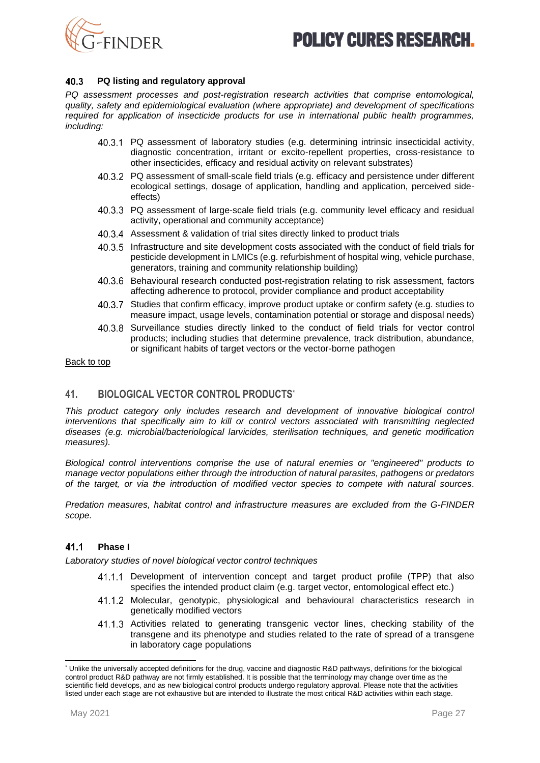

#### 40.3 **PQ listing and regulatory approval**

*PQ assessment processes and post-registration research activities that comprise entomological, quality, safety and epidemiological evaluation (where appropriate) and development of specifications required for application of insecticide products for use in international public health programmes, including:*

- PQ assessment of laboratory studies (e.g. determining intrinsic insecticidal activity, diagnostic concentration, irritant or excito-repellent properties, cross-resistance to other insecticides, efficacy and residual activity on relevant substrates)
- PQ assessment of small-scale field trials (e.g. efficacy and persistence under different ecological settings, dosage of application, handling and application, perceived sideeffects)
- PQ assessment of large-scale field trials (e.g. community level efficacy and residual activity, operational and community acceptance)
- Assessment & validation of trial sites directly linked to product trials
- Infrastructure and site development costs associated with the conduct of field trials for pesticide development in LMICs (e.g. refurbishment of hospital wing, vehicle purchase, generators, training and community relationship building)
- 40.3.6 Behavioural research conducted post-registration relating to risk assessment, factors affecting adherence to protocol, provider compliance and product acceptability
- 40.3.7 Studies that confirm efficacy, improve product uptake or confirm safety (e.g. studies to measure impact, usage levels, contamination potential or storage and disposal needs)
- 40.3.8 Surveillance studies directly linked to the conduct of field trials for vector control products; including studies that determine prevalence, track distribution, abundance, or significant habits of target vectors or the vector-borne pathogen

#### [Back to top](#page-0-1)

## **41. BIOLOGICAL VECTOR CONTROL PRODUCTS\***

*This product category only includes research and development of innovative biological control interventions that specifically aim to kill or control vectors associated with transmitting neglected diseases (e.g. microbial/bacteriological larvicides, sterilisation techniques, and genetic modification measures).*

*Biological control interventions comprise the use of natural enemies or "engineered" products to manage vector populations either through the introduction of natural parasites, pathogens or predators of the target, or via the introduction of modified vector species to compete with natural sources.*

*Predation measures, habitat control and infrastructure measures are excluded from the G-FINDER scope.*

#### 41.1 **Phase I**

*Laboratory studies of novel biological vector control techniques* 

- 41.1.1 Development of intervention concept and target product profile (TPP) that also specifies the intended product claim (e.g. target vector, entomological effect etc.)
- Molecular, genotypic, physiological and behavioural characteristics research in genetically modified vectors
- Activities related to generating transgenic vector lines, checking stability of the transgene and its phenotype and studies related to the rate of spread of a transgene in laboratory cage populations

<sup>\*</sup> Unlike the universally accepted definitions for the drug, vaccine and diagnostic R&D pathways, definitions for the biological control product R&D pathway are not firmly established. It is possible that the terminology may change over time as the scientific field develops, and as new biological control products undergo regulatory approval. Please note that the activities listed under each stage are not exhaustive but are intended to illustrate the most critical R&D activities within each stage.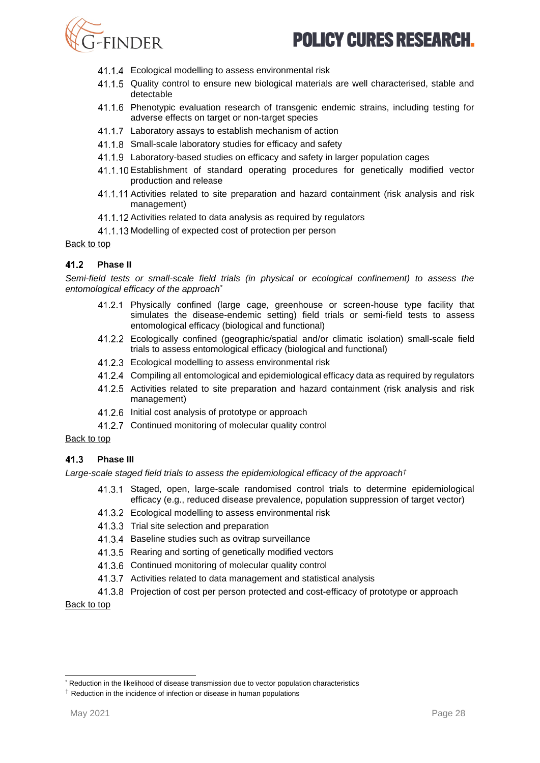

- 41.1.4 Ecological modelling to assess environmental risk
- 41.1.5 Quality control to ensure new biological materials are well characterised, stable and detectable
- Phenotypic evaluation research of transgenic endemic strains, including testing for adverse effects on target or non-target species
- 41.1.7 Laboratory assays to establish mechanism of action
- 41.1.8 Small-scale laboratory studies for efficacy and safety
- Laboratory-based studies on efficacy and safety in larger population cages
- Establishment of standard operating procedures for genetically modified vector production and release
- 41.1.11 Activities related to site preparation and hazard containment (risk analysis and risk management)
- 41.1.12 Activities related to data analysis as required by regulators
- 41.1.13 Modelling of expected cost of protection per person

#### [Back to top](#page-0-1)

#### $41.2$ **Phase II**

*Semi-field tests or small-scale field trials (in physical or ecological confinement) to assess the entomological efficacy of the approach\**

- Physically confined (large cage, greenhouse or screen-house type facility that simulates the disease-endemic setting) field trials or semi-field tests to assess entomological efficacy (biological and functional)
- Ecologically confined (geographic/spatial and/or climatic isolation) small-scale field trials to assess entomological efficacy (biological and functional)
- 41.2.3 Ecological modelling to assess environmental risk
- Compiling all entomological and epidemiological efficacy data as required by regulators
- 41.2.5 Activities related to site preparation and hazard containment (risk analysis and risk management)
- 41.2.6 Initial cost analysis of prototype or approach
- 41.2.7 Continued monitoring of molecular quality control

#### [Back to top](#page-0-1)

#### 41.3 **Phase III**

*Large-scale staged field trials to assess the epidemiological efficacy of the approach†*

- 41.3.1 Staged, open, large-scale randomised control trials to determine epidemiological efficacy (e.g., reduced disease prevalence, population suppression of target vector)
- 41.3.2 Ecological modelling to assess environmental risk
- 41.3.3 Trial site selection and preparation
- 41.3.4 Baseline studies such as ovitrap surveillance
- 41.3.5 Rearing and sorting of genetically modified vectors
- 41.3.6 Continued monitoring of molecular quality control
- 41.3.7 Activities related to data management and statistical analysis
- Projection of cost per person protected and cost-efficacy of prototype or approach

<sup>\*</sup> Reduction in the likelihood of disease transmission due to vector population characteristics

<sup>†</sup> Reduction in the incidence of infection or disease in human populations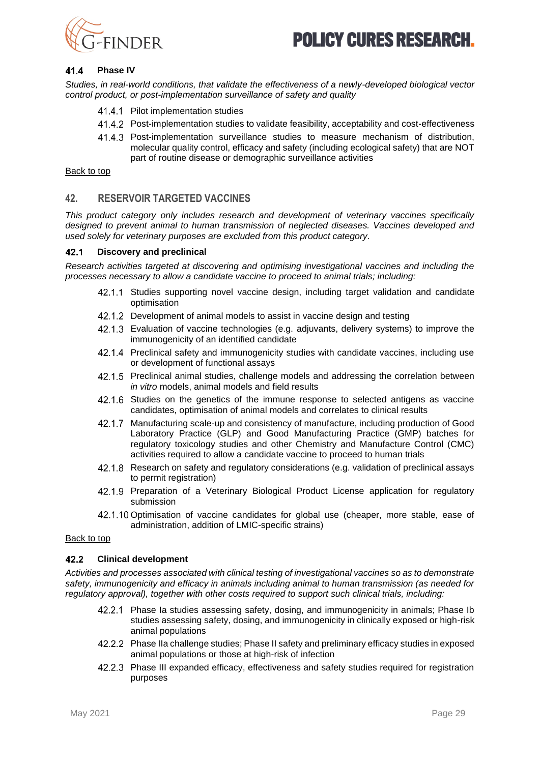

#### 41.4 **Phase IV**

*Studies, in real-world conditions, that validate the effectiveness of a newly-developed biological vector control product, or post-implementation surveillance of safety and quality* 

- 41.4.1 Pilot implementation studies
- Post-implementation studies to validate feasibility, acceptability and cost-effectiveness
- Post-implementation surveillance studies to measure mechanism of distribution, molecular quality control, efficacy and safety (including ecological safety) that are NOT part of routine disease or demographic surveillance activities

[Back to top](#page-0-1)

### <span id="page-28-0"></span>**42. RESERVOIR TARGETED VACCINES**

*This product category only includes research and development of veterinary vaccines specifically designed to prevent animal to human transmission of neglected diseases. Vaccines developed and used solely for veterinary purposes are excluded from this product category.*

#### 42.1 **Discovery and preclinical**

*Research activities targeted at discovering and optimising investigational vaccines and including the processes necessary to allow a candidate vaccine to proceed to animal trials; including:*

- 42.1.1 Studies supporting novel vaccine design, including target validation and candidate optimisation
- 42.1.2 Development of animal models to assist in vaccine design and testing
- Evaluation of vaccine technologies (e.g. adjuvants, delivery systems) to improve the immunogenicity of an identified candidate
- 42.1.4 Preclinical safety and immunogenicity studies with candidate vaccines, including use or development of functional assays
- 42.1.5 Preclinical animal studies, challenge models and addressing the correlation between *in vitro* models, animal models and field results
- 42.1.6 Studies on the genetics of the immune response to selected antigens as vaccine candidates, optimisation of animal models and correlates to clinical results
- 42.1.7 Manufacturing scale-up and consistency of manufacture, including production of Good Laboratory Practice (GLP) and Good Manufacturing Practice (GMP) batches for regulatory toxicology studies and other Chemistry and Manufacture Control (CMC) activities required to allow a candidate vaccine to proceed to human trials
- Research on safety and regulatory considerations (e.g. validation of preclinical assays to permit registration)
- 42.1.9 Preparation of a Veterinary Biological Product License application for regulatory submission
- 42.1.10 Optimisation of vaccine candidates for global use (cheaper, more stable, ease of administration, addition of LMIC-specific strains)

#### [Back to top](#page-0-1)

#### $42.2$ **Clinical development**

*Activities and processes associated with clinical testing of investigational vaccines so as to demonstrate safety, immunogenicity and efficacy in animals including animal to human transmission (as needed for regulatory approval), together with other costs required to support such clinical trials, including:*

- 42.2.1 Phase Ia studies assessing safety, dosing, and immunogenicity in animals; Phase Ib studies assessing safety, dosing, and immunogenicity in clinically exposed or high-risk animal populations
- Phase IIa challenge studies; Phase II safety and preliminary efficacy studies in exposed animal populations or those at high-risk of infection
- 42.2.3 Phase III expanded efficacy, effectiveness and safety studies required for registration purposes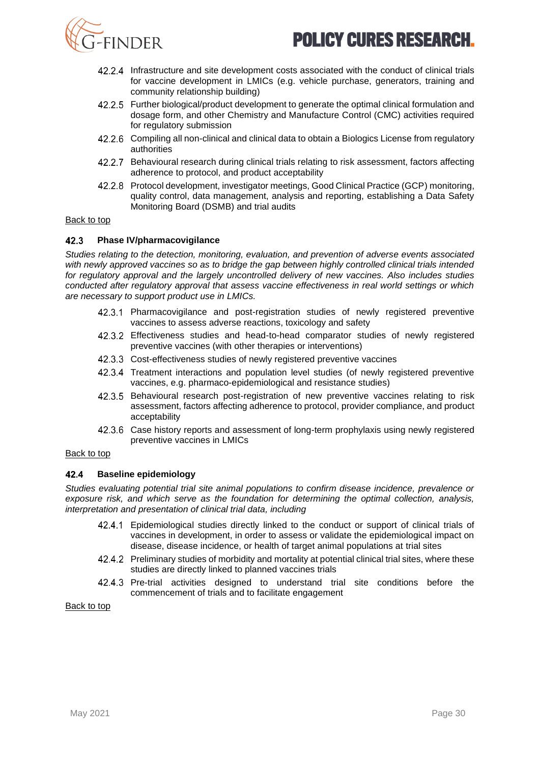



- Infrastructure and site development costs associated with the conduct of clinical trials for vaccine development in LMICs (e.g. vehicle purchase, generators, training and community relationship building)
- 42.2.5 Further biological/product development to generate the optimal clinical formulation and dosage form, and other Chemistry and Manufacture Control (CMC) activities required for regulatory submission
- 42.2.6 Compiling all non-clinical and clinical data to obtain a Biologics License from regulatory authorities
- 42.2.7 Behavioural research during clinical trials relating to risk assessment, factors affecting adherence to protocol, and product acceptability
- 42.2.8 Protocol development, investigator meetings, Good Clinical Practice (GCP) monitoring, quality control, data management, analysis and reporting, establishing a Data Safety Monitoring Board (DSMB) and trial audits

#### [Back to top](#page-0-1)

#### 42.3 **Phase IV/pharmacovigilance**

*Studies relating to the detection, monitoring, evaluation, and prevention of adverse events associated with newly approved vaccines so as to bridge the gap between highly controlled clinical trials intended for regulatory approval and the largely uncontrolled delivery of new vaccines. Also includes studies conducted after regulatory approval that assess vaccine effectiveness in real world settings or which are necessary to support product use in LMICs.*

- 42.3.1 Pharmacovigilance and post-registration studies of newly registered preventive vaccines to assess adverse reactions, toxicology and safety
- Effectiveness studies and head-to-head comparator studies of newly registered preventive vaccines (with other therapies or interventions)
- 42.3.3 Cost-effectiveness studies of newly registered preventive vaccines
- 42.3.4 Treatment interactions and population level studies (of newly registered preventive vaccines, e.g. pharmaco-epidemiological and resistance studies)
- Behavioural research post-registration of new preventive vaccines relating to risk assessment, factors affecting adherence to protocol, provider compliance, and product acceptability
- Case history reports and assessment of long-term prophylaxis using newly registered preventive vaccines in LMICs

#### [Back to top](#page-0-1)

#### $424$ **Baseline epidemiology**

*Studies evaluating potential trial site animal populations to confirm disease incidence, prevalence or exposure risk, and which serve as the foundation for determining the optimal collection, analysis, interpretation and presentation of clinical trial data, including* 

- Epidemiological studies directly linked to the conduct or support of clinical trials of vaccines in development, in order to assess or validate the epidemiological impact on disease, disease incidence, or health of target animal populations at trial sites
- 42.4.2 Preliminary studies of morbidity and mortality at potential clinical trial sites, where these studies are directly linked to planned vaccines trials
- Pre-trial activities designed to understand trial site conditions before the commencement of trials and to facilitate engagement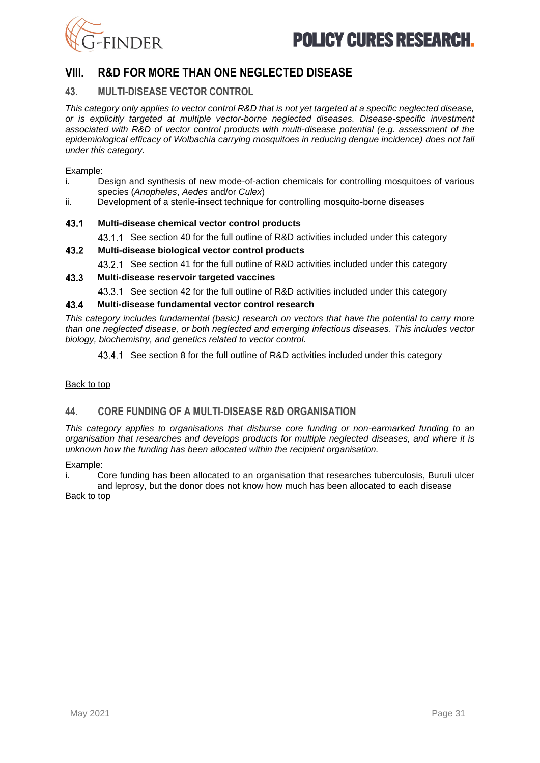

## <span id="page-30-0"></span>**VIII. R&D FOR MORE THAN ONE NEGLECTED DISEASE**

### **43. MULTI-DISEASE VECTOR CONTROL**

*This category only applies to vector control R&D that is not yet targeted at a specific neglected disease, or is explicitly targeted at multiple vector-borne neglected diseases. Disease-specific investment associated with R&D of vector control products with multi-disease potential (e.g. assessment of the epidemiological efficacy of Wolbachia carrying mosquitoes in reducing dengue incidence) does not fall under this category.*

Example:

- i. Design and synthesis of new mode-of-action chemicals for controlling mosquitoes of various species (*Anopheles*, *Aedes* and/or *Culex*)
- ii. Development of a sterile-insect technique for controlling mosquito-borne diseases

#### 43.1 **Multi-disease chemical vector control products**

- 43.1.1 See section [40](#page-25-0) for the full outline of R&D activities included under this category
- 43.2 **Multi-disease biological vector control products**
	- 43.2.1 See section 41 for the full outline of R&D activities included under this category

#### 43.3 **Multi-disease reservoir targeted vaccines**

43.3.1 See section [42](#page-28-0) for the full outline of R&D activities included under this category

#### 43.4 **Multi-disease fundamental vector control research**

*This category includes fundamental (basic) research on vectors that have the potential to carry more than one neglected disease, or both neglected and emerging infectious diseases. This includes vector biology, biochemistry, and genetics related to vector control.*

43.4.1 See section 8 for the full outline of R&D activities included under this category

#### [Back to top](#page-0-1)

## **44. CORE FUNDING OF A MULTI-DISEASE R&D ORGANISATION**

*This category applies to organisations that disburse core funding or non-earmarked funding to an organisation that researches and develops products for multiple neglected diseases, and where it is unknown how the funding has been allocated within the recipient organisation.*

Example:

i. Core funding has been allocated to an organisation that researches tuberculosis, Buruli ulcer and leprosy, but the donor does not know how much has been allocated to each disease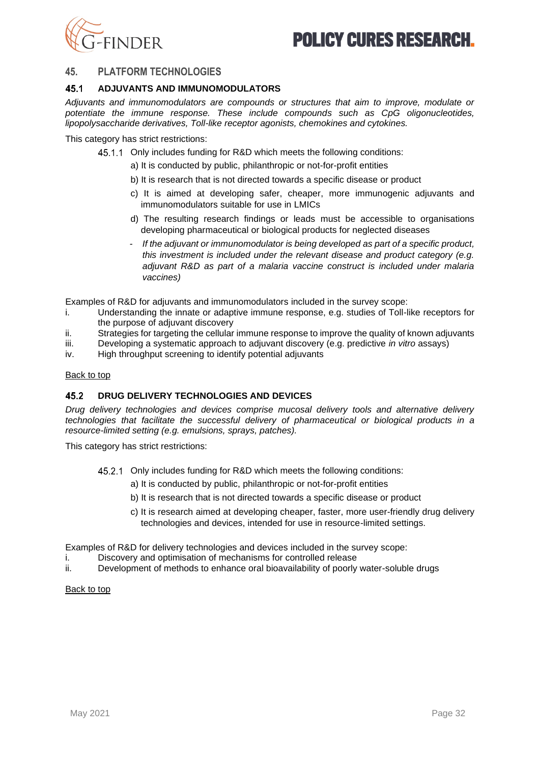

#### **45. PLATFORM TECHNOLOGIES**

#### 45.1 **ADJUVANTS AND IMMUNOMODULATORS**

*Adjuvants and immunomodulators are compounds or structures that aim to improve, modulate or potentiate the immune response. These include compounds such as CpG oligonucleotides, lipopolysaccharide derivatives, Toll-like receptor agonists, chemokines and cytokines.* 

This category has strict restrictions:

- 45.1.1 Only includes funding for R&D which meets the following conditions:
	- a) It is conducted by public, philanthropic or not-for-profit entities
	- b) It is research that is not directed towards a specific disease or product
	- c) It is aimed at developing safer, cheaper, more immunogenic adjuvants and immunomodulators suitable for use in LMICs
	- d) The resulting research findings or leads must be accessible to organisations developing pharmaceutical or biological products for neglected diseases
	- *- If the adjuvant or immunomodulator is being developed as part of a specific product, this investment is included under the relevant disease and product category (e.g. adjuvant R&D as part of a malaria vaccine construct is included under malaria vaccines)*

Examples of R&D for adjuvants and immunomodulators included in the survey scope:

- i. Understanding the innate or adaptive immune response, e.g. studies of Toll-like receptors for the purpose of adjuvant discovery
- ii. Strategies for targeting the cellular immune response to improve the quality of known adjuvants
- iii. Developing a systematic approach to adjuvant discovery (e.g. predictive *in vitro* assays)
- iv. High throughput screening to identify potential adjuvants

#### [Back to top](#page-0-1)

#### 45.2 **DRUG DELIVERY TECHNOLOGIES AND DEVICES**

*Drug delivery technologies and devices comprise mucosal delivery tools and alternative delivery technologies that facilitate the successful delivery of pharmaceutical or biological products in a resource-limited setting (e.g. emulsions, sprays, patches).* 

This category has strict restrictions:

- 45.2.1 Only includes funding for R&D which meets the following conditions:
	- a) It is conducted by public, philanthropic or not-for-profit entities
	- b) It is research that is not directed towards a specific disease or product
	- c) It is research aimed at developing cheaper, faster, more user-friendly drug delivery technologies and devices, intended for use in resource-limited settings.

Examples of R&D for delivery technologies and devices included in the survey scope:

- i. Discovery and optimisation of mechanisms for controlled release
- ii. Development of methods to enhance oral bioavailability of poorly water-soluble drugs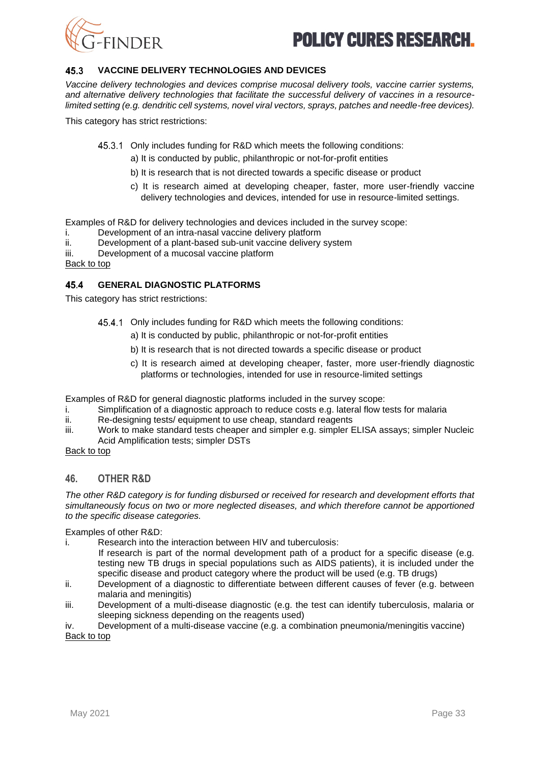

#### 45.3 **VACCINE DELIVERY TECHNOLOGIES AND DEVICES**

*Vaccine delivery technologies and devices comprise mucosal delivery tools, vaccine carrier systems, and alternative delivery technologies that facilitate the successful delivery of vaccines in a resourcelimited setting (e.g. dendritic cell systems, novel viral vectors, sprays, patches and needle-free devices).* 

This category has strict restrictions:

45.3.1 Only includes funding for R&D which meets the following conditions:

- a) It is conducted by public, philanthropic or not-for-profit entities
- b) It is research that is not directed towards a specific disease or product
- c) It is research aimed at developing cheaper, faster, more user-friendly vaccine delivery technologies and devices, intended for use in resource-limited settings.

Examples of R&D for delivery technologies and devices included in the survey scope:

- i. Development of an intra-nasal vaccine delivery platform<br>ii. Development of a plant-based sub-unit vaccine delivery
- Development of a plant-based sub-unit vaccine delivery system
- iii. Development of a mucosal vaccine platform

[Back to top](#page-0-1)

#### 45.4 **GENERAL DIAGNOSTIC PLATFORMS**

This category has strict restrictions:

- 45.4.1 Only includes funding for R&D which meets the following conditions:
	- a) It is conducted by public, philanthropic or not-for-profit entities
	- b) It is research that is not directed towards a specific disease or product
	- c) It is research aimed at developing cheaper, faster, more user-friendly diagnostic platforms or technologies, intended for use in resource-limited settings

Examples of R&D for general diagnostic platforms included in the survey scope:

- i. Simplification of a diagnostic approach to reduce costs e.g. lateral flow tests for malaria
- ii. Re-designing tests/ equipment to use cheap, standard reagents
- iii. Work to make standard tests cheaper and simpler e.g. simpler ELISA assays; simpler Nucleic Acid Amplification tests; simpler DSTs

#### [Back to top](#page-0-1)

#### **46. OTHER R&D**

*The other R&D category is for funding disbursed or received for research and development efforts that simultaneously focus on two or more neglected diseases, and which therefore cannot be apportioned to the specific disease categories.* 

Examples of other R&D:

- i. Research into the interaction between HIV and tuberculosis:
- If research is part of the normal development path of a product for a specific disease (e.g. testing new TB drugs in special populations such as AIDS patients), it is included under the specific disease and product category where the product will be used (e.g. TB drugs)
- ii. Development of a diagnostic to differentiate between different causes of fever (e.g. between malaria and meningitis)
- iii. Development of a multi-disease diagnostic (e.g. the test can identify tuberculosis, malaria or sleeping sickness depending on the reagents used)

iv. Development of a multi-disease vaccine (e.g. a combination pneumonia/meningitis vaccine) [Back to top](#page-0-1)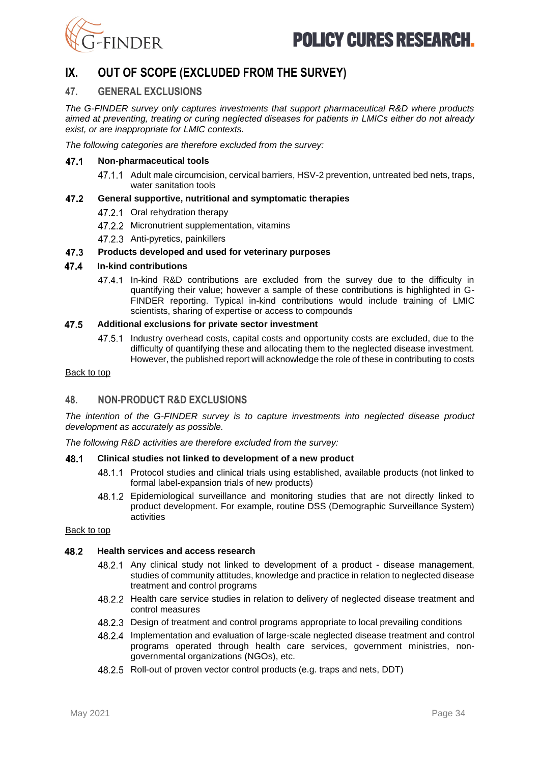



## <span id="page-33-0"></span>**IX. OUT OF SCOPE (EXCLUDED FROM THE SURVEY)**

#### **47. GENERAL EXCLUSIONS**

*The G-FINDER survey only captures investments that support pharmaceutical R&D where products aimed at preventing, treating or curing neglected diseases for patients in LMICs either do not already exist, or are inappropriate for LMIC contexts.* 

*The following categories are therefore excluded from the survey:* 

#### 47.1 **Non-pharmaceutical tools**

47.1.1 Adult male circumcision, cervical barriers, HSV-2 prevention, untreated bed nets, traps, water sanitation tools

#### 47.2 **General supportive, nutritional and symptomatic therapies**

- 47.2.1 Oral rehydration therapy
- 47.2.2 Micronutrient supplementation, vitamins
- 47.2.3 Anti-pyretics, painkillers

#### 47.3 **Products developed and used for veterinary purposes**

#### 47.4 **In-kind contributions**

47.4.1 In-kind R&D contributions are excluded from the survey due to the difficulty in quantifying their value; however a sample of these contributions is highlighted in G-FINDER reporting. Typical in-kind contributions would include training of LMIC scientists, sharing of expertise or access to compounds

#### 47.5 **Additional exclusions for private sector investment**

Industry overhead costs, capital costs and opportunity costs are excluded, due to the difficulty of quantifying these and allocating them to the neglected disease investment. However, the published report will acknowledge the role of these in contributing to costs

#### [Back to top](#page-0-1)

#### **48. NON-PRODUCT R&D EXCLUSIONS**

*The intention of the G-FINDER survey is to capture investments into neglected disease product development as accurately as possible.* 

*The following R&D activities are therefore excluded from the survey:* 

#### 48.1 **Clinical studies not linked to development of a new product**

- 48.1.1 Protocol studies and clinical trials using established, available products (not linked to formal label-expansion trials of new products)
- Epidemiological surveillance and monitoring studies that are not directly linked to product development. For example, routine DSS (Demographic Surveillance System) activities

#### [Back to top](#page-0-1)

#### 48.2 **Health services and access research**

- Any clinical study not linked to development of a product disease management, studies of community attitudes, knowledge and practice in relation to neglected disease treatment and control programs
- 48.2.2 Health care service studies in relation to delivery of neglected disease treatment and control measures
- Design of treatment and control programs appropriate to local prevailing conditions
- Implementation and evaluation of large-scale neglected disease treatment and control programs operated through health care services, government ministries, nongovernmental organizations (NGOs), etc.
- 48.2.5 Roll-out of proven vector control products (e.g. traps and nets, DDT)